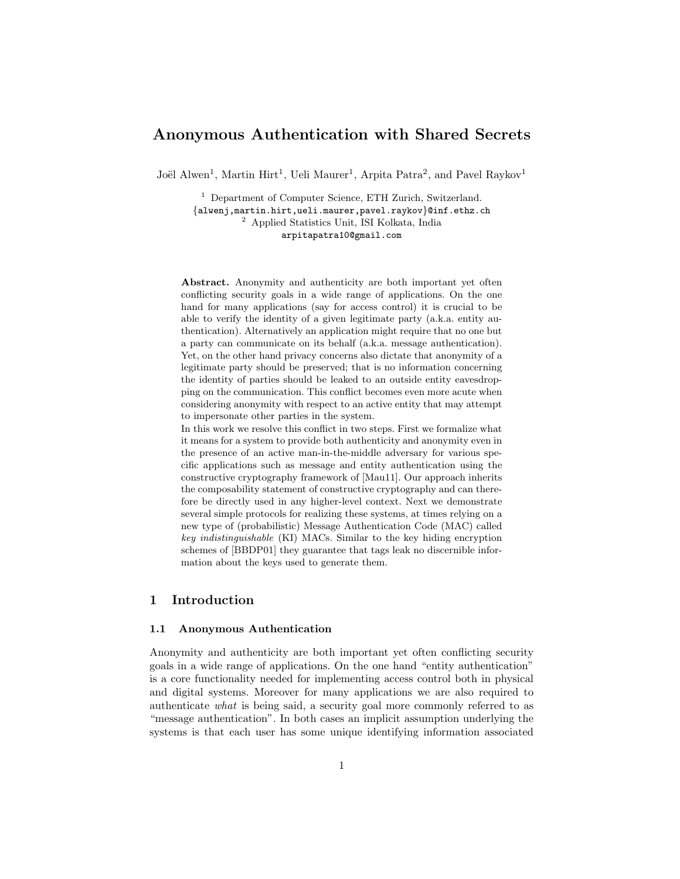# Anonymous Authentication with Shared Secrets

Joël Alwen<sup>1</sup>, Martin Hirt<sup>1</sup>, Ueli Maurer<sup>1</sup>, Arpita Patra<sup>2</sup>, and Pavel Raykov<sup>1</sup>

<sup>1</sup> Department of Computer Science, ETH Zurich, Switzerland. {alwenj,martin.hirt,ueli.maurer,pavel.raykov}@inf.ethz.ch <sup>2</sup> Applied Statistics Unit, ISI Kolkata, India arpitapatra10@gmail.com

Abstract. Anonymity and authenticity are both important yet often conflicting security goals in a wide range of applications. On the one hand for many applications (say for access control) it is crucial to be able to verify the identity of a given legitimate party (a.k.a. entity authentication). Alternatively an application might require that no one but a party can communicate on its behalf (a.k.a. message authentication). Yet, on the other hand privacy concerns also dictate that anonymity of a legitimate party should be preserved; that is no information concerning the identity of parties should be leaked to an outside entity eavesdropping on the communication. This conflict becomes even more acute when considering anonymity with respect to an active entity that may attempt to impersonate other parties in the system.

In this work we resolve this conflict in two steps. First we formalize what it means for a system to provide both authenticity and anonymity even in the presence of an active man-in-the-middle adversary for various specific applications such as message and entity authentication using the constructive cryptography framework of [Mau11]. Our approach inherits the composability statement of constructive cryptography and can therefore be directly used in any higher-level context. Next we demonstrate several simple protocols for realizing these systems, at times relying on a new type of (probabilistic) Message Authentication Code (MAC) called key indistinguishable (KI) MACs. Similar to the key hiding encryption schemes of [BBDP01] they guarantee that tags leak no discernible information about the keys used to generate them.

# 1 Introduction

#### 1.1 Anonymous Authentication

Anonymity and authenticity are both important yet often conflicting security goals in a wide range of applications. On the one hand "entity authentication" is a core functionality needed for implementing access control both in physical and digital systems. Moreover for many applications we are also required to authenticate what is being said, a security goal more commonly referred to as "message authentication". In both cases an implicit assumption underlying the systems is that each user has some unique identifying information associated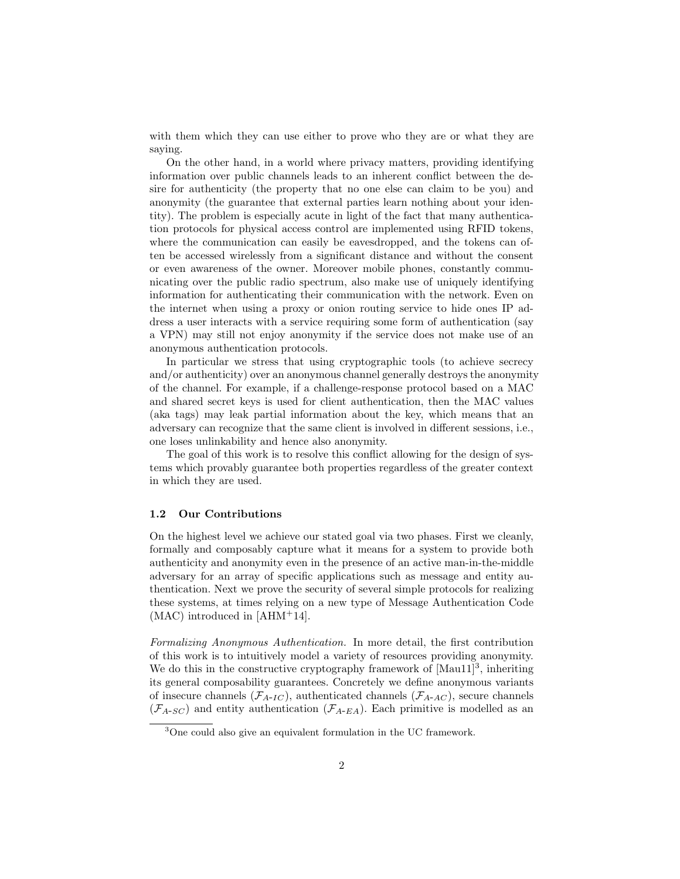with them which they can use either to prove who they are or what they are saying.

On the other hand, in a world where privacy matters, providing identifying information over public channels leads to an inherent conflict between the desire for authenticity (the property that no one else can claim to be you) and anonymity (the guarantee that external parties learn nothing about your identity). The problem is especially acute in light of the fact that many authentication protocols for physical access control are implemented using RFID tokens, where the communication can easily be eavesdropped, and the tokens can often be accessed wirelessly from a significant distance and without the consent or even awareness of the owner. Moreover mobile phones, constantly communicating over the public radio spectrum, also make use of uniquely identifying information for authenticating their communication with the network. Even on the internet when using a proxy or onion routing service to hide ones IP address a user interacts with a service requiring some form of authentication (say a VPN) may still not enjoy anonymity if the service does not make use of an anonymous authentication protocols.

In particular we stress that using cryptographic tools (to achieve secrecy and/or authenticity) over an anonymous channel generally destroys the anonymity of the channel. For example, if a challenge-response protocol based on a MAC and shared secret keys is used for client authentication, then the MAC values (aka tags) may leak partial information about the key, which means that an adversary can recognize that the same client is involved in different sessions, i.e., one loses unlinkability and hence also anonymity.

The goal of this work is to resolve this conflict allowing for the design of systems which provably guarantee both properties regardless of the greater context in which they are used.

## 1.2 Our Contributions

On the highest level we achieve our stated goal via two phases. First we cleanly, formally and composably capture what it means for a system to provide both authenticity and anonymity even in the presence of an active man-in-the-middle adversary for an array of specific applications such as message and entity authentication. Next we prove the security of several simple protocols for realizing these systems, at times relying on a new type of Message Authentication Code (MAC) introduced in [AHM<sup>+</sup>14].

Formalizing Anonymous Authentication. In more detail, the first contribution of this work is to intuitively model a variety of resources providing anonymity. We do this in the constructive cryptography framework of  $[Mau11]$ <sup>3</sup>, inheriting its general composability guarantees. Concretely we define anonymous variants of insecure channels  $(\mathcal{F}_{A-IC})$ , authenticated channels  $(\mathcal{F}_{A-AC})$ , secure channels  $(\mathcal{F}_{A-SC})$  and entity authentication  $(\mathcal{F}_{A-EA})$ . Each primitive is modelled as an

<sup>3</sup>One could also give an equivalent formulation in the UC framework.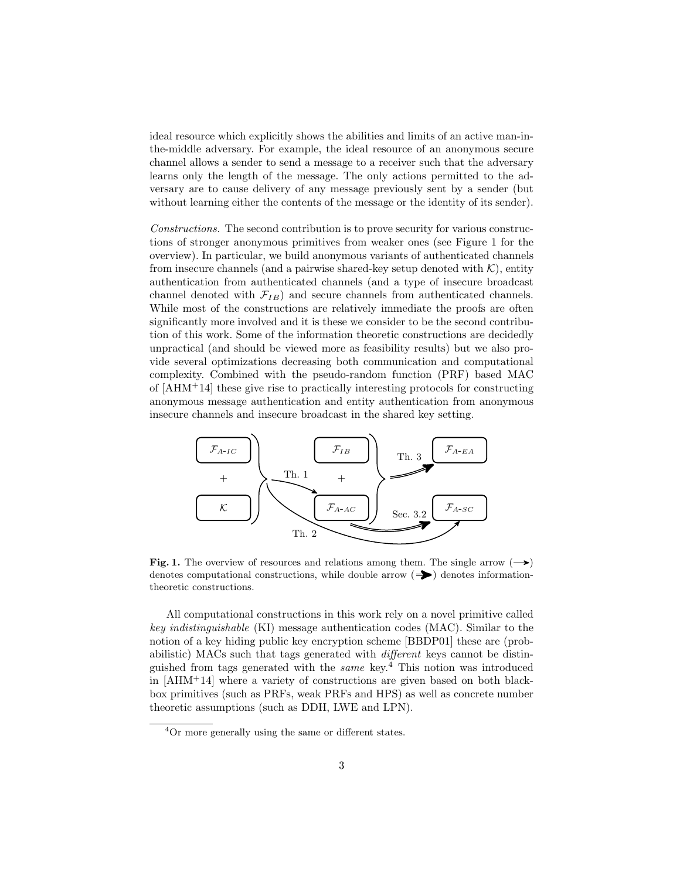ideal resource which explicitly shows the abilities and limits of an active man-inthe-middle adversary. For example, the ideal resource of an anonymous secure channel allows a sender to send a message to a receiver such that the adversary learns only the length of the message. The only actions permitted to the adversary are to cause delivery of any message previously sent by a sender (but without learning either the contents of the message or the identity of its sender).

Constructions. The second contribution is to prove security for various constructions of stronger anonymous primitives from weaker ones (see Figure 1 for the overview). In particular, we build anonymous variants of authenticated channels from insecure channels (and a pairwise shared-key setup denoted with  $K$ ), entity authentication from authenticated channels (and a type of insecure broadcast channel denoted with  $\mathcal{F}_{IB}$ ) and secure channels from authenticated channels. While most of the constructions are relatively immediate the proofs are often significantly more involved and it is these we consider to be the second contribution of this work. Some of the information theoretic constructions are decidedly unpractical (and should be viewed more as feasibility results) but we also provide several optimizations decreasing both communication and computational complexity. Combined with the pseudo-random function (PRF) based MAC of [AHM+14] these give rise to practically interesting protocols for constructing anonymous message authentication and entity authentication from anonymous insecure channels and insecure broadcast in the shared key setting.



Fig. 1. The overview of resources and relations among them. The single arrow  $(\rightarrow)$ denotes computational constructions, while double arrow  $(\Rightarrow)$  denotes informationtheoretic constructions.

All computational constructions in this work rely on a novel primitive called key indistinguishable (KI) message authentication codes (MAC). Similar to the notion of a key hiding public key encryption scheme [BBDP01] these are (probabilistic) MACs such that tags generated with different keys cannot be distinguished from tags generated with the same key. $\frac{4}{1}$  This notion was introduced in [AHM<sup>+</sup>14] where a variety of constructions are given based on both blackbox primitives (such as PRFs, weak PRFs and HPS) as well as concrete number theoretic assumptions (such as DDH, LWE and LPN).

<sup>4</sup>Or more generally using the same or different states.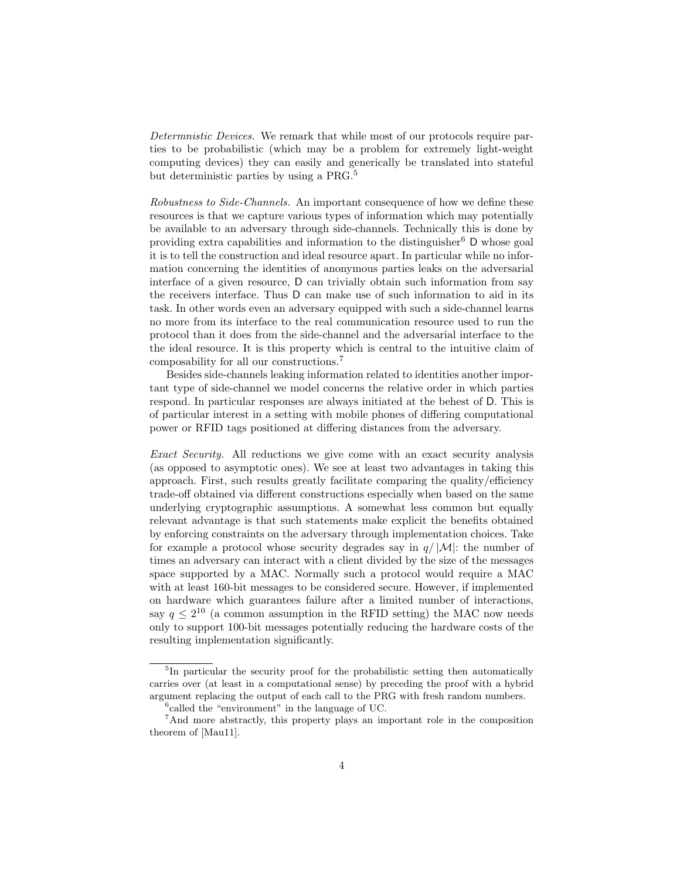Determnistic Devices. We remark that while most of our protocols require parties to be probabilistic (which may be a problem for extremely light-weight computing devices) they can easily and generically be translated into stateful but deterministic parties by using a PRG.<sup>5</sup>

Robustness to Side-Channels. An important consequence of how we define these resources is that we capture various types of information which may potentially be available to an adversary through side-channels. Technically this is done by providing extra capabilities and information to the distinguisher<sup>6</sup>  $\overline{D}$  whose goal it is to tell the construction and ideal resource apart. In particular while no information concerning the identities of anonymous parties leaks on the adversarial interface of a given resource, D can trivially obtain such information from say the receivers interface. Thus D can make use of such information to aid in its task. In other words even an adversary equipped with such a side-channel learns no more from its interface to the real communication resource used to run the protocol than it does from the side-channel and the adversarial interface to the the ideal resource. It is this property which is central to the intuitive claim of composability for all our constructions.<sup>7</sup>

Besides side-channels leaking information related to identities another important type of side-channel we model concerns the relative order in which parties respond. In particular responses are always initiated at the behest of D. This is of particular interest in a setting with mobile phones of differing computational power or RFID tags positioned at differing distances from the adversary.

Exact Security. All reductions we give come with an exact security analysis (as opposed to asymptotic ones). We see at least two advantages in taking this approach. First, such results greatly facilitate comparing the quality/efficiency trade-off obtained via different constructions especially when based on the same underlying cryptographic assumptions. A somewhat less common but equally relevant advantage is that such statements make explicit the benefits obtained by enforcing constraints on the adversary through implementation choices. Take for example a protocol whose security degrades say in  $q/|\mathcal{M}|$ : the number of times an adversary can interact with a client divided by the size of the messages space supported by a MAC. Normally such a protocol would require a MAC with at least 160-bit messages to be considered secure. However, if implemented on hardware which guarantees failure after a limited number of interactions, say  $q \leq 2^{10}$  (a common assumption in the RFID setting) the MAC now needs only to support 100-bit messages potentially reducing the hardware costs of the resulting implementation significantly.

<sup>&</sup>lt;sup>5</sup>In particular the security proof for the probabilistic setting then automatically carries over (at least in a computational sense) by preceding the proof with a hybrid argument replacing the output of each call to the PRG with fresh random numbers.

<sup>6</sup> called the "environment" in the language of UC.

<sup>7</sup>And more abstractly, this property plays an important role in the composition theorem of [Mau11].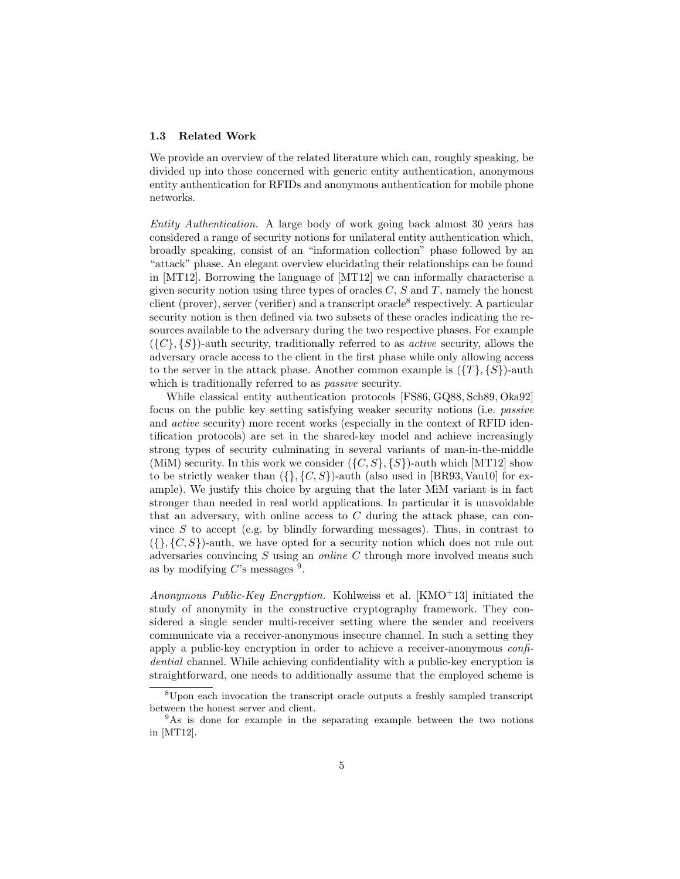#### 1.3 Related Work

We provide an overview of the related literature which can, roughly speaking, be divided up into those concerned with generic entity authentication, anonymous entity authentication for RFIDs and anonymous authentication for mobile phone networks.

Entity Authentication. A large body of work going back almost 30 years has considered a range of security notions for unilateral entity authentication which, broadly speaking, consist of an "information collection" phase followed by an "attack" phase. An elegant overview elucidating their relationships can be found in [MT12]. Borrowing the language of [MT12] we can informally characterise a given security notion using three types of oracles  $C$ ,  $S$  and  $T$ , namely the honest client (prover), server (verifier) and a transcript oracle<sup>8</sup> respectively. A particular security notion is then defined via two subsets of these oracles indicating the resources available to the adversary during the two respective phases. For example  $({C}, {S})$ -auth security, traditionally referred to as *active* security, allows the adversary oracle access to the client in the first phase while only allowing access to the server in the attack phase. Another common example is  $({T}, {S})$ -auth which is traditionally referred to as *passive* security.

While classical entity authentication protocols [FS86, GQ88, Sch89, Oka92] focus on the public key setting satisfying weaker security notions (i.e. passive and active security) more recent works (especially in the context of RFID identification protocols) are set in the shared-key model and achieve increasingly strong types of security culminating in several variants of man-in-the-middle (MiM) security. In this work we consider  $({C, S}, {S})$ -auth which [MT12] show to be strictly weaker than  $({}, {C, S})$ -auth (also used in [BR93, Vau10] for example). We justify this choice by arguing that the later MiM variant is in fact stronger than needed in real world applications. In particular it is unavoidable that an adversary, with online access to  $C$  during the attack phase, can convince  $S$  to accept (e.g. by blindly forwarding messages). Thus, in contrast to  $({}, {C, S})$ -auth, we have opted for a security notion which does not rule out adversaries convincing  $S$  using an *online*  $C$  through more involved means such as by modifying  $C$ 's messages  $9$ .

Anonymous Public-Key Encryption. Kohlweiss et al. [KMO<sup>+</sup>13] initiated the study of anonymity in the constructive cryptography framework. They considered a single sender multi-receiver setting where the sender and receivers communicate via a receiver-anonymous insecure channel. In such a setting they apply a public-key encryption in order to achieve a receiver-anonymous confidential channel. While achieving confidentiality with a public-key encryption is straightforward, one needs to additionally assume that the employed scheme is

<sup>8</sup>Upon each invocation the transcript oracle outputs a freshly sampled transcript between the honest server and client.

<sup>&</sup>lt;sup>9</sup>As is done for example in the separating example between the two notions in [MT12].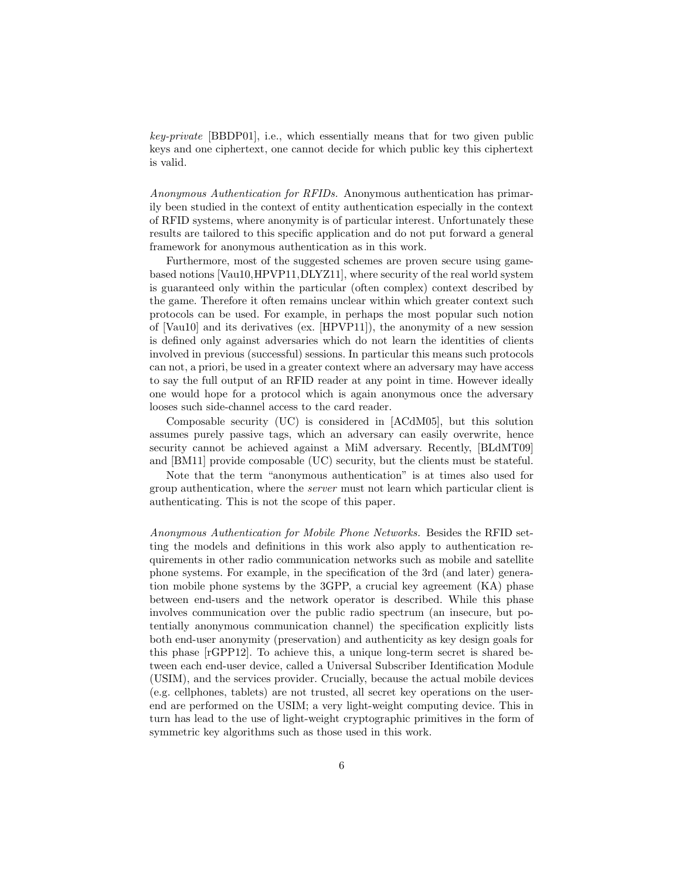key-private [BBDP01], i.e., which essentially means that for two given public keys and one ciphertext, one cannot decide for which public key this ciphertext is valid.

Anonymous Authentication for RFIDs. Anonymous authentication has primarily been studied in the context of entity authentication especially in the context of RFID systems, where anonymity is of particular interest. Unfortunately these results are tailored to this specific application and do not put forward a general framework for anonymous authentication as in this work.

Furthermore, most of the suggested schemes are proven secure using gamebased notions [Vau10,HPVP11,DLYZ11], where security of the real world system is guaranteed only within the particular (often complex) context described by the game. Therefore it often remains unclear within which greater context such protocols can be used. For example, in perhaps the most popular such notion of [Vau10] and its derivatives (ex. [HPVP11]), the anonymity of a new session is defined only against adversaries which do not learn the identities of clients involved in previous (successful) sessions. In particular this means such protocols can not, a priori, be used in a greater context where an adversary may have access to say the full output of an RFID reader at any point in time. However ideally one would hope for a protocol which is again anonymous once the adversary looses such side-channel access to the card reader.

Composable security (UC) is considered in [ACdM05], but this solution assumes purely passive tags, which an adversary can easily overwrite, hence security cannot be achieved against a MiM adversary. Recently, [BLdMT09] and [BM11] provide composable (UC) security, but the clients must be stateful.

Note that the term "anonymous authentication" is at times also used for group authentication, where the server must not learn which particular client is authenticating. This is not the scope of this paper.

Anonymous Authentication for Mobile Phone Networks. Besides the RFID setting the models and definitions in this work also apply to authentication requirements in other radio communication networks such as mobile and satellite phone systems. For example, in the specification of the 3rd (and later) generation mobile phone systems by the 3GPP, a crucial key agreement (KA) phase between end-users and the network operator is described. While this phase involves communication over the public radio spectrum (an insecure, but potentially anonymous communication channel) the specification explicitly lists both end-user anonymity (preservation) and authenticity as key design goals for this phase [rGPP12]. To achieve this, a unique long-term secret is shared between each end-user device, called a Universal Subscriber Identification Module (USIM), and the services provider. Crucially, because the actual mobile devices (e.g. cellphones, tablets) are not trusted, all secret key operations on the userend are performed on the USIM; a very light-weight computing device. This in turn has lead to the use of light-weight cryptographic primitives in the form of symmetric key algorithms such as those used in this work.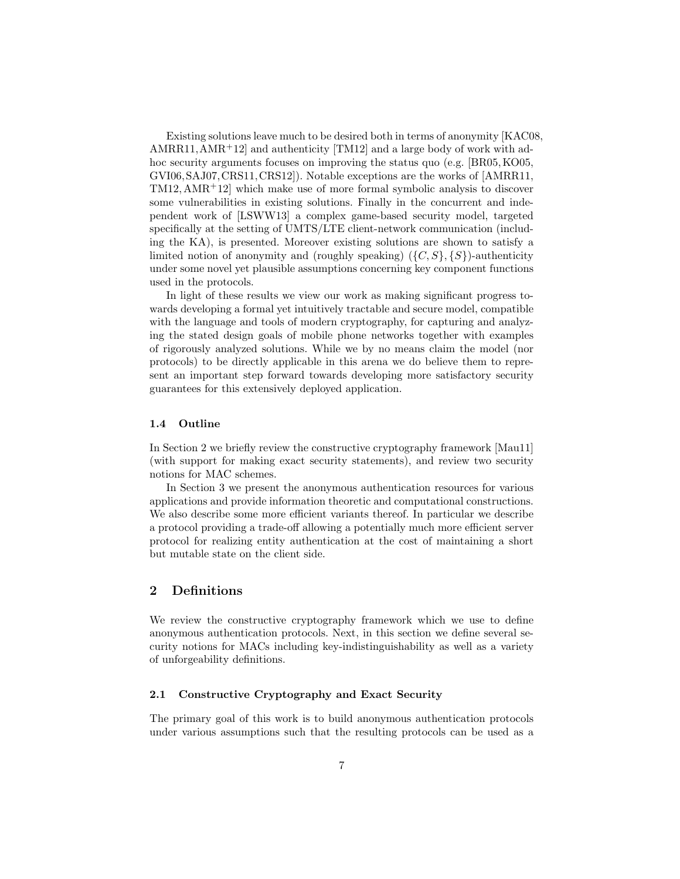Existing solutions leave much to be desired both in terms of anonymity [KAC08, AMRR11,AMR<sup>+</sup>12 and authenticity [TM12] and a large body of work with adhoc security arguments focuses on improving the status quo (e.g. [BR05,KO05, GVI06,SAJ07,CRS11,CRS12]). Notable exceptions are the works of [AMRR11,  $TM12, AMR<sup>+</sup>12$ ] which make use of more formal symbolic analysis to discover some vulnerabilities in existing solutions. Finally in the concurrent and independent work of [LSWW13] a complex game-based security model, targeted specifically at the setting of UMTS/LTE client-network communication (including the KA), is presented. Moreover existing solutions are shown to satisfy a limited notion of anonymity and (roughly speaking)  $({C, S}, {S})$ -authenticity under some novel yet plausible assumptions concerning key component functions used in the protocols.

In light of these results we view our work as making significant progress towards developing a formal yet intuitively tractable and secure model, compatible with the language and tools of modern cryptography, for capturing and analyzing the stated design goals of mobile phone networks together with examples of rigorously analyzed solutions. While we by no means claim the model (nor protocols) to be directly applicable in this arena we do believe them to represent an important step forward towards developing more satisfactory security guarantees for this extensively deployed application.

## 1.4 Outline

In Section 2 we briefly review the constructive cryptography framework [Mau11] (with support for making exact security statements), and review two security notions for MAC schemes.

In Section 3 we present the anonymous authentication resources for various applications and provide information theoretic and computational constructions. We also describe some more efficient variants thereof. In particular we describe a protocol providing a trade-off allowing a potentially much more efficient server protocol for realizing entity authentication at the cost of maintaining a short but mutable state on the client side.

# 2 Definitions

We review the constructive cryptography framework which we use to define anonymous authentication protocols. Next, in this section we define several security notions for MACs including key-indistinguishability as well as a variety of unforgeability definitions.

# 2.1 Constructive Cryptography and Exact Security

The primary goal of this work is to build anonymous authentication protocols under various assumptions such that the resulting protocols can be used as a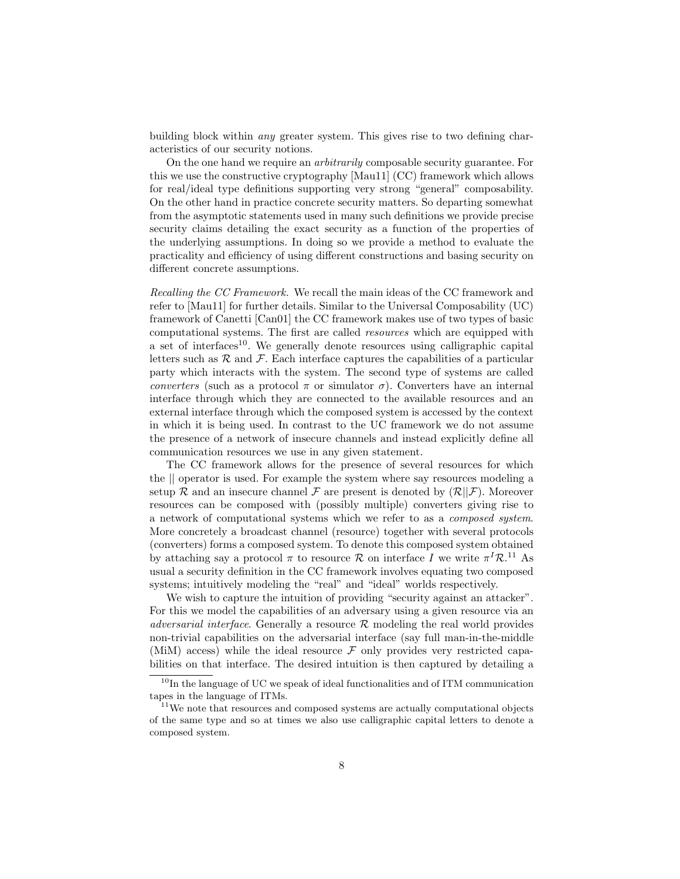building block within any greater system. This gives rise to two defining characteristics of our security notions.

On the one hand we require an arbitrarily composable security guarantee. For this we use the constructive cryptography [Mau11] (CC) framework which allows for real/ideal type definitions supporting very strong "general" composability. On the other hand in practice concrete security matters. So departing somewhat from the asymptotic statements used in many such definitions we provide precise security claims detailing the exact security as a function of the properties of the underlying assumptions. In doing so we provide a method to evaluate the practicality and efficiency of using different constructions and basing security on different concrete assumptions.

Recalling the CC Framework. We recall the main ideas of the CC framework and refer to [Mau11] for further details. Similar to the Universal Composability (UC) framework of Canetti [Can01] the CC framework makes use of two types of basic computational systems. The first are called resources which are equipped with a set of interfaces<sup>10</sup>. We generally denote resources using calligraphic capital letters such as  $R$  and  $\mathcal F$ . Each interface captures the capabilities of a particular party which interacts with the system. The second type of systems are called converters (such as a protocol  $\pi$  or simulator  $\sigma$ ). Converters have an internal interface through which they are connected to the available resources and an external interface through which the composed system is accessed by the context in which it is being used. In contrast to the UC framework we do not assume the presence of a network of insecure channels and instead explicitly define all communication resources we use in any given statement.

The CC framework allows for the presence of several resources for which the || operator is used. For example the system where say resources modeling a setup R and an insecure channel F are present is denoted by  $(R||\mathcal{F})$ . Moreover resources can be composed with (possibly multiple) converters giving rise to a network of computational systems which we refer to as a composed system. More concretely a broadcast channel (resource) together with several protocols (converters) forms a composed system. To denote this composed system obtained by attaching say a protocol  $\pi$  to resource  $\mathcal R$  on interface I we write  $\pi^I \mathcal R$ <sup>11</sup> As usual a security definition in the CC framework involves equating two composed systems; intuitively modeling the "real" and "ideal" worlds respectively.

We wish to capture the intuition of providing "security against an attacker". For this we model the capabilities of an adversary using a given resource via an *adversarial interface.* Generally a resource  $\mathcal{R}$  modeling the real world provides non-trivial capabilities on the adversarial interface (say full man-in-the-middle (MiM) access) while the ideal resource  $\mathcal F$  only provides very restricted capabilities on that interface. The desired intuition is then captured by detailing a

 $10$ In the language of UC we speak of ideal functionalities and of ITM communication tapes in the language of ITMs.

<sup>&</sup>lt;sup>11</sup>We note that resources and composed systems are actually computational objects of the same type and so at times we also use calligraphic capital letters to denote a composed system.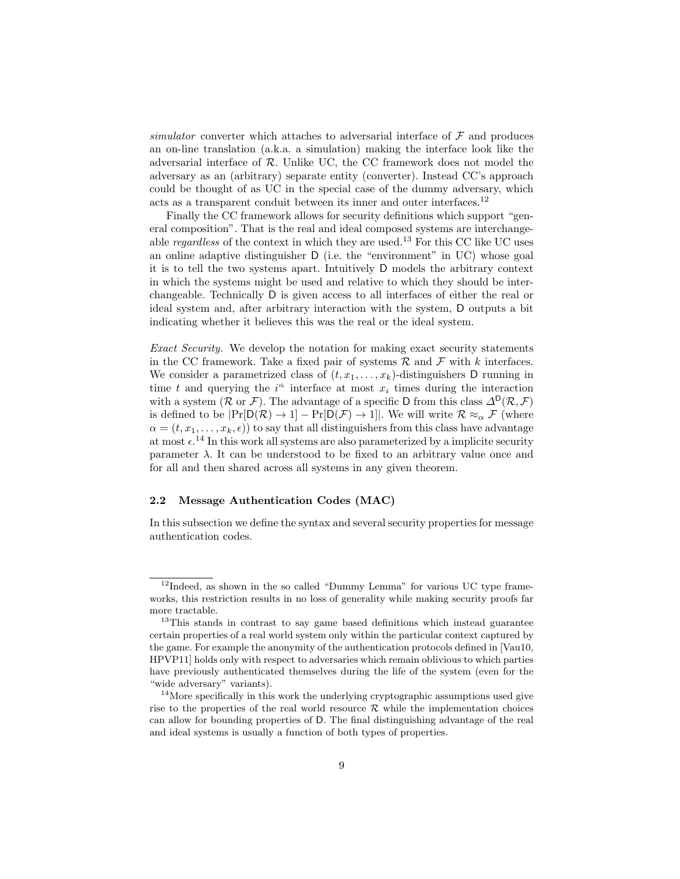simulator converter which attaches to adversarial interface of  $\mathcal F$  and produces an on-line translation (a.k.a. a simulation) making the interface look like the adversarial interface of R. Unlike UC, the CC framework does not model the adversary as an (arbitrary) separate entity (converter). Instead CC's approach could be thought of as UC in the special case of the dummy adversary, which acts as a transparent conduit between its inner and outer interfaces.<sup>12</sup>

Finally the CC framework allows for security definitions which support "general composition". That is the real and ideal composed systems are interchangeable *regardless* of the context in which they are used.<sup>13</sup> For this CC like UC uses an online adaptive distinguisher D (i.e. the "environment" in UC) whose goal it is to tell the two systems apart. Intuitively D models the arbitrary context in which the systems might be used and relative to which they should be interchangeable. Technically D is given access to all interfaces of either the real or ideal system and, after arbitrary interaction with the system, D outputs a bit indicating whether it believes this was the real or the ideal system.

Exact Security. We develop the notation for making exact security statements in the CC framework. Take a fixed pair of systems  $\mathcal R$  and  $\mathcal F$  with k interfaces. We consider a parametrized class of  $(t, x_1, \ldots, x_k)$ -distinguishers D running in time t and querying the  $i<sup>th</sup>$  interface at most  $x<sub>i</sub>$  times during the interaction with a system ( $\mathcal R$  or  $\mathcal F$ ). The advantage of a specific D from this class  $\Delta^D(\mathcal R,\mathcal F)$ is defined to be  $|Pr[D(\mathcal{R}) \to 1] - Pr[D(\mathcal{F}) \to 1]|$ . We will write  $\mathcal{R} \approx_{\alpha} \mathcal{F}$  (where  $\alpha = (t, x_1, \ldots, x_k, \epsilon)$  to say that all distinguishers from this class have advantage at most  $\epsilon$ .<sup>14</sup> In this work all systems are also parameterized by a implicite security parameter  $\lambda$ . It can be understood to be fixed to an arbitrary value once and for all and then shared across all systems in any given theorem.

# 2.2 Message Authentication Codes (MAC)

In this subsection we define the syntax and several security properties for message authentication codes.

<sup>&</sup>lt;sup>12</sup>Indeed, as shown in the so called "Dummy Lemma" for various UC type frameworks, this restriction results in no loss of generality while making security proofs far more tractable.

<sup>&</sup>lt;sup>13</sup>This stands in contrast to say game based definitions which instead guarantee certain properties of a real world system only within the particular context captured by the game. For example the anonymity of the authentication protocols defined in [Vau10, HPVP11] holds only with respect to adversaries which remain oblivious to which parties have previously authenticated themselves during the life of the system (even for the "wide adversary" variants).

<sup>&</sup>lt;sup>14</sup>More specifically in this work the underlying cryptographic assumptions used give rise to the properties of the real world resource  $\mathcal R$  while the implementation choices can allow for bounding properties of D. The final distinguishing advantage of the real and ideal systems is usually a function of both types of properties.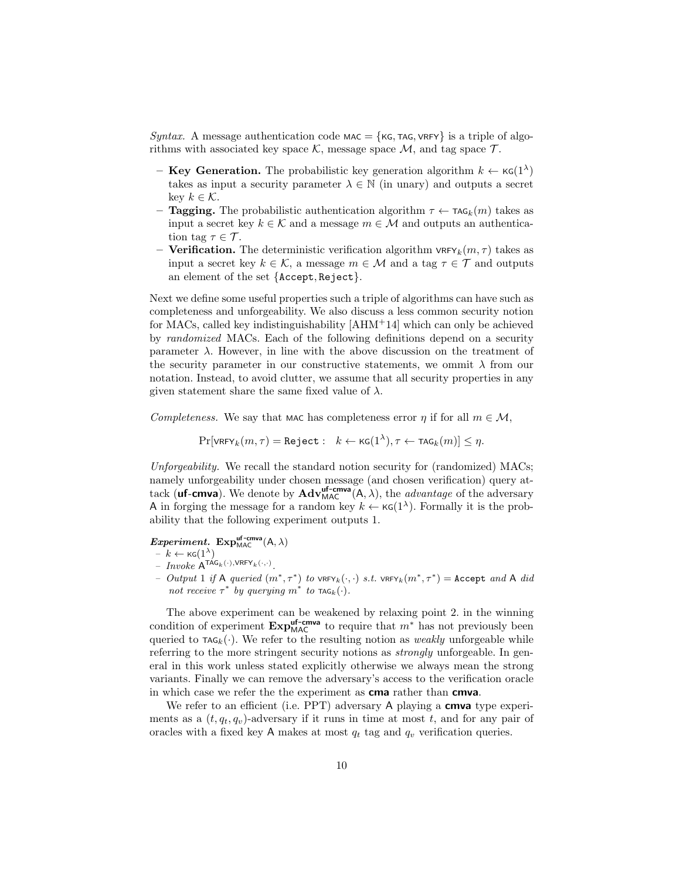Syntax. A message authentication code MAC =  $\{\kappa \in \mathcal{S}, \tau \in \mathcal{S}, \mathcal{S} \times \mathcal{S} \mid \kappa \in \mathcal{S} \text{ such that } \kappa \in \mathcal{S} \}$ rithms with associated key space  $\mathcal{K}$ , message space  $\mathcal{M}$ , and tag space  $\mathcal{T}$ .

- Key Generation. The probabilistic key generation algorithm  $k \leftarrow \kappa \epsilon(1^{\lambda})$ takes as input a security parameter  $\lambda \in \mathbb{N}$  (in unary) and outputs a secret key  $k \in \mathcal{K}$ .
- **Tagging.** The probabilistic authentication algorithm  $\tau \leftarrow \text{TAG}_k(m)$  takes as input a secret key  $k \in \mathcal{K}$  and a message  $m \in \mathcal{M}$  and outputs an authentication tag  $\tau \in \mathcal{T}$ .
- **Verification.** The deterministic verification algorithm  $VRFY_k(m, \tau)$  takes as input a secret key  $k \in \mathcal{K}$ , a message  $m \in \mathcal{M}$  and a tag  $\tau \in \mathcal{T}$  and outputs an element of the set {Accept, Reject}.

Next we define some useful properties such a triple of algorithms can have such as completeness and unforgeability. We also discuss a less common security notion for MACs, called key indistinguishability  $[AHM+14]$  which can only be achieved by randomized MACs. Each of the following definitions depend on a security parameter  $\lambda$ . However, in line with the above discussion on the treatment of the security parameter in our constructive statements, we ommit  $\lambda$  from our notation. Instead, to avoid clutter, we assume that all security properties in any given statement share the same fixed value of  $\lambda$ .

Completeness. We say that MAC has completeness error  $\eta$  if for all  $m \in \mathcal{M}$ ,

$$
\Pr[\text{vrfv}_k(m,\tau) = \text{Reject}: \quad k \leftarrow \text{KG}(1^{\lambda}), \tau \leftarrow \text{tag}_k(m)] \leq \eta.
$$

Unforgeability. We recall the standard notion security for (randomized) MACs; namely unforgeability under chosen message (and chosen verification) query attack (**uf-cmva**). We denote by  $\mathbf{Adv}_{MAC}^{\mathbf{uf-cmva}}(A, \lambda)$ , the *advantage* of the adversary A in forging the message for a random key  $k \leftarrow \kappa \mathsf{G}(1^{\lambda})$ . Formally it is the probability that the following experiment outputs 1.

# $Experiment.$   $\mathrm{Exp}_{\text{MAC}}^{\text{uf-cmva}}(A, \lambda)$

- $\; k \leftarrow \mathsf{KG}(1^\lambda)$
- $-$  Invoke  $A^{TAG_k(\cdot),VRFY_k(\cdot,\cdot)}$ .
- Output 1 if A queried  $(m^*, \tau^*)$  to  $\text{vRFY}_k(\cdot, \cdot)$  s.t.  $\text{vRFY}_k(m^*, \tau^*) = \text{Accept}$  and A did not receive  $\tau^*$  by querying  $m^*$  to  $\text{TAG}_k(\cdot)$ .

The above experiment can be weakened by relaxing point 2. in the winning condition of experiment  $Exp_{MAC}^{uf-cmva}$  to require that  $m^*$  has not previously been queried to  $\text{TAG}_k(\cdot)$ . We refer to the resulting notion as weakly unforgeable while referring to the more stringent security notions as *strongly* unforgeable. In general in this work unless stated explicitly otherwise we always mean the strong variants. Finally we can remove the adversary's access to the verification oracle in which case we refer the the experiment as cma rather than cmva.

We refer to an efficient (i.e. PPT) adversary A playing a **cmva** type experiments as a  $(t, q_t, q_v)$ -adversary if it runs in time at most t, and for any pair of oracles with a fixed key A makes at most  $q_t$  tag and  $q_v$  verification queries.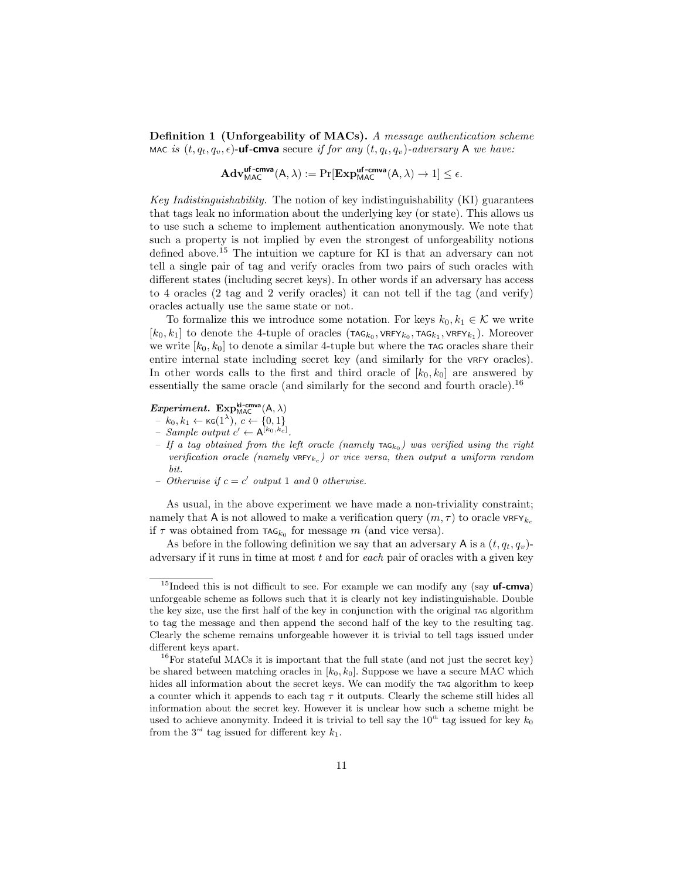Definition 1 (Unforgeability of MACs). A message authentication scheme MAC is  $(t, q_t, q_v, \epsilon)$ -uf-cmva secure if for any  $(t, q_t, q_v)$ -adversary A we have:

 $\mathbf{Adv}_{\mathsf{MAC}}^{\mathsf{uf-cmva}}(\mathsf{A}, \lambda) := \Pr[\mathbf{Exp}_{\mathsf{MAC}}^{\mathsf{uf-cmva}}(\mathsf{A}, \lambda) \to 1] \leq \epsilon.$ 

Key Indistinguishability. The notion of key indistinguishability (KI) guarantees that tags leak no information about the underlying key (or state). This allows us to use such a scheme to implement authentication anonymously. We note that such a property is not implied by even the strongest of unforgeability notions defined above.<sup>15</sup> The intuition we capture for KI is that an adversary can not tell a single pair of tag and verify oracles from two pairs of such oracles with different states (including secret keys). In other words if an adversary has access to 4 oracles (2 tag and 2 verify oracles) it can not tell if the tag (and verify) oracles actually use the same state or not.

To formalize this we introduce some notation. For keys  $k_0, k_1 \in \mathcal{K}$  we write  $[k_0, k_1]$  to denote the 4-tuple of oracles  $(\text{TAG}_{k_0}, \text{VRFY}_{k_0}, \text{TAG}_{k_1}, \text{VRFY}_{k_1})$ . Moreover we write  $[k_0, k_0]$  to denote a similar 4-tuple but where the TAG oracles share their entire internal state including secret key (and similarly for the VRFY oracles). In other words calls to the first and third oracle of  $[k_0, k_0]$  are answered by essentially the same oracle (and similarly for the second and fourth oracle).<sup>16</sup>

# $Experiment.$   $\mathrm{Exp}_{\text{MAC}}^{\text{ki-cmva}}(A, \lambda)$

- $\; k_0, k_1 \leftarrow \mathsf{KG}(1^\lambda), \; c \leftarrow \{0, 1\}$
- $-$  Sample output  $c' \leftarrow A^{[k_0, k_c]}$ .
- $-$  If a tag obtained from the left oracle (namely  $\text{tr}_k$ ) was verified using the right verification oracle (namely  $\mathsf{vRFk}_c$ ) or vice versa, then output a uniform random bit.
- Otherwise if  $c = c'$  output 1 and 0 otherwise.

As usual, in the above experiment we have made a non-triviality constraint; namely that A is not allowed to make a verification query  $(m, \tau)$  to oracle VRFY<sub>kc</sub> if  $\tau$  was obtained from  $\tau$ AG<sub>k<sub>0</sub></sub> for message m (and vice versa).

As before in the following definition we say that an adversary A is a  $(t, q_t, q_v)$ adversary if it runs in time at most t and for each pair of oracles with a given key

 $15$ Indeed this is not difficult to see. For example we can modify any (say **uf-cmva**) unforgeable scheme as follows such that it is clearly not key indistinguishable. Double the key size, use the first half of the key in conjunction with the original TAG algorithm to tag the message and then append the second half of the key to the resulting tag. Clearly the scheme remains unforgeable however it is trivial to tell tags issued under different keys apart.

<sup>&</sup>lt;sup>16</sup>For stateful MACs it is important that the full state (and not just the secret key) be shared between matching oracles in  $[k_0, k_0]$ . Suppose we have a secure MAC which hides all information about the secret keys. We can modify the TAG algorithm to keep a counter which it appends to each tag  $\tau$  it outputs. Clearly the scheme still hides all information about the secret key. However it is unclear how such a scheme might be used to achieve anonymity. Indeed it is trivial to tell say the  $10^{th}$  tag issued for key  $k_0$ from the  $3^{rd}$  tag issued for different key  $k_1$ .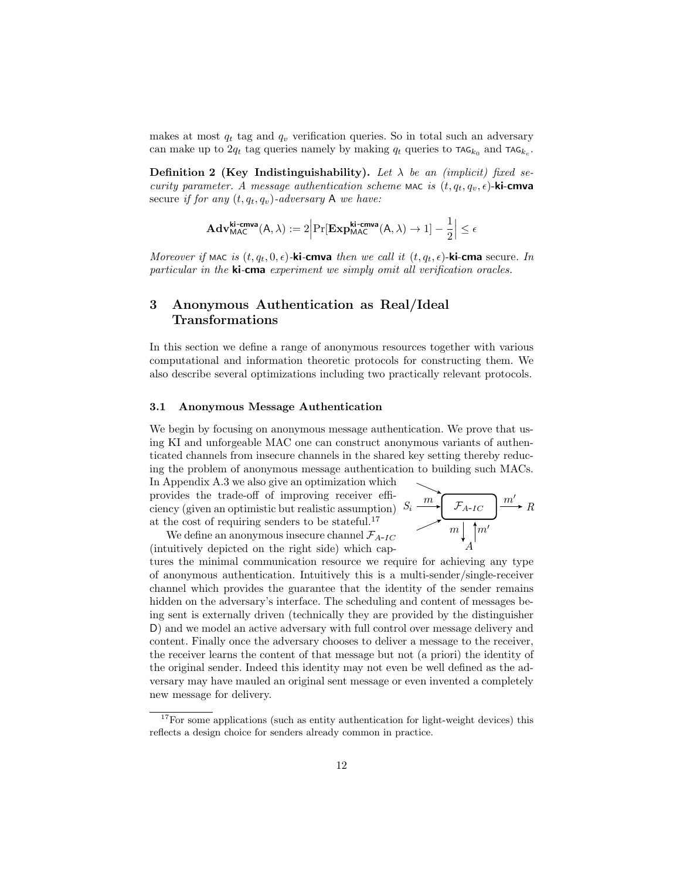makes at most  $q_t$  tag and  $q_v$  verification queries. So in total such an adversary can make up to  $2q_t$  tag queries namely by making  $q_t$  queries to  $\text{TAG}_{k_0}$  and  $\text{TAG}_{k_c}$ .

**Definition 2 (Key Indistinguishability).** Let  $\lambda$  be an (implicit) fixed security parameter. A message authentication scheme MAC is  $(t, q_t, q_v, \epsilon)$ -ki-cmva secure if for any  $(t, q_t, q_v)$ -adversary A we have:

$$
\mathbf{Adv}_{\mathsf{MAC}}^{\mathsf{ki-cmva}}(\mathsf{A}, \lambda) := 2 \Big| \mathrm{Pr}[\mathbf{Exp}_{\mathsf{MAC}}^{\mathsf{ki-cmva}}(\mathsf{A}, \lambda) \to 1] - \frac{1}{2} \Big| \le \epsilon
$$

Moreover if MAC is  $(t, q_t, 0, \epsilon)$ -ki-cmva then we call it  $(t, q_t, \epsilon)$ -ki-cma secure. In particular in the **ki-cma** experiment we simply omit all verification oracles.

# 3 Anonymous Authentication as Real/Ideal Transformations

In this section we define a range of anonymous resources together with various computational and information theoretic protocols for constructing them. We also describe several optimizations including two practically relevant protocols.

#### 3.1 Anonymous Message Authentication

We begin by focusing on anonymous message authentication. We prove that using KI and unforgeable MAC one can construct anonymous variants of authenticated channels from insecure channels in the shared key setting thereby reducing the problem of anonymous message authentication to building such MACs.

In Appendix A.3 we also give an optimization which provides the trade-off of improving receiver efficiency (given an optimistic but realistic assumption) at the cost of requiring senders to be stateful.<sup>17</sup>

We define an anonymous insecure channel  $\mathcal{F}_{A-IC}$ (intuitively depicted on the right side) which cap-

$$
S_i \xrightarrow{m} \underbrace{\mathcal{F}_{A-IC}}_{m} \underbrace{m'}_{A} m'
$$

tures the minimal communication resource we require for achieving any type of anonymous authentication. Intuitively this is a multi-sender/single-receiver channel which provides the guarantee that the identity of the sender remains hidden on the adversary's interface. The scheduling and content of messages being sent is externally driven (technically they are provided by the distinguisher D) and we model an active adversary with full control over message delivery and content. Finally once the adversary chooses to deliver a message to the receiver, the receiver learns the content of that message but not (a priori) the identity of the original sender. Indeed this identity may not even be well defined as the adversary may have mauled an original sent message or even invented a completely new message for delivery.

 $17$  For some applications (such as entity authentication for light-weight devices) this reflects a design choice for senders already common in practice.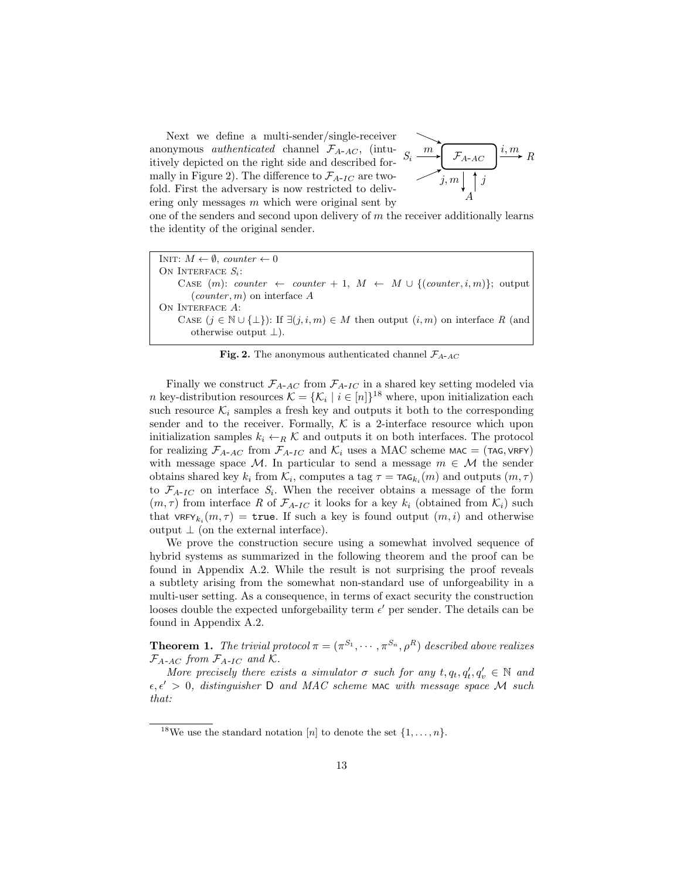Next we define a multi-sender/single-receiver anonymous *authenticated* channel  $\mathcal{F}_{A-AC}$ , (intuitively depicted on the right side and described formally in Figure 2). The difference to  $\mathcal{F}_{A-IC}$  are twofold. First the adversary is now restricted to delivering only messages  $m$  which were original sent by

$$
S_i \xrightarrow{m} \underbrace{\mathcal{F}_{A-\mathcal{A}\mathcal{C}}}{j, m} \underbrace{\bigg\downarrow^i, m}_{\mathcal{A}} R
$$

one of the senders and second upon delivery of  $m$  the receiver additionally learns the identity of the original sender.

INIT:  $M \leftarrow \emptyset$ , counter  $\leftarrow 0$ ON INTERFACE  $S_i$ : CASE  $(m)$ : counter  $\leftarrow$  counter + 1,  $M \leftarrow M \cup \{(\text{counter}, i, m)\};$  output  $(counter, m)$  on interface  $A$ ON INTERFACE  $A$ : CASE  $(j \in \mathbb{N} \cup \{\bot\})$ : If  $\exists (i, i, m) \in M$  then output  $(i, m)$  on interface R (and otherwise output  $\perp$ ).

Fig. 2. The anonymous authenticated channel  $\mathcal{F}_{A-AC}$ 

Finally we construct  $\mathcal{F}_{A-AC}$  from  $\mathcal{F}_{A-IC}$  in a shared key setting modeled via n key-distribution resources  $\mathcal{K} = {\{\mathcal{K}_i \mid i \in [n]\}}^{18}$  where, upon initialization each such resource  $\mathcal{K}_i$  samples a fresh key and outputs it both to the corresponding sender and to the receiver. Formally,  $K$  is a 2-interface resource which upon initialization samples  $k_i \leftarrow_R \mathcal{K}$  and outputs it on both interfaces. The protocol for realizing  $\mathcal{F}_{A-AC}$  from  $\mathcal{F}_{A-IC}$  and  $\mathcal{K}_i$  uses a MAC scheme MAC = (TAG, VRFY) with message space M. In particular to send a message  $m \in \mathcal{M}$  the sender obtains shared key  $k_i$  from  $\mathcal{K}_i$ , computes a tag  $\tau = \text{TAG}_{k_i}(m)$  and outputs  $(m, \tau)$ to  $\mathcal{F}_{A-IC}$  on interface  $S_i$ . When the receiver obtains a message of the form  $(m, \tau)$  from interface R of  $\mathcal{F}_{A-IC}$  it looks for a key  $k_i$  (obtained from  $\mathcal{K}_i$ ) such that  $\text{VRFY}_{k_i}(m,\tau) = \text{true}$ . If such a key is found output  $(m,i)$  and otherwise output  $\perp$  (on the external interface).

We prove the construction secure using a somewhat involved sequence of hybrid systems as summarized in the following theorem and the proof can be found in Appendix A.2. While the result is not surprising the proof reveals a subtlety arising from the somewhat non-standard use of unforgeability in a multi-user setting. As a consequence, in terms of exact security the construction looses double the expected unforgebaility term  $\epsilon'$  per sender. The details can be found in Appendix A.2.

**Theorem 1.** The trivial protocol  $\pi = (\pi^{S_1}, \dots, \pi^{S_n}, \rho^R)$  described above realizes  $\mathcal{F}_{A-AC}$  from  $\mathcal{F}_{A-IC}$  and K.

More precisely there exists a simulator  $\sigma$  such for any  $t, q_t, q'_t, q'_v \in \mathbb{N}$  and  $\epsilon, \epsilon' > 0$ , distinguisher D and MAC scheme MAC with message space M such that:

<sup>&</sup>lt;sup>18</sup>We use the standard notation [n] to denote the set  $\{1, \ldots, n\}$ .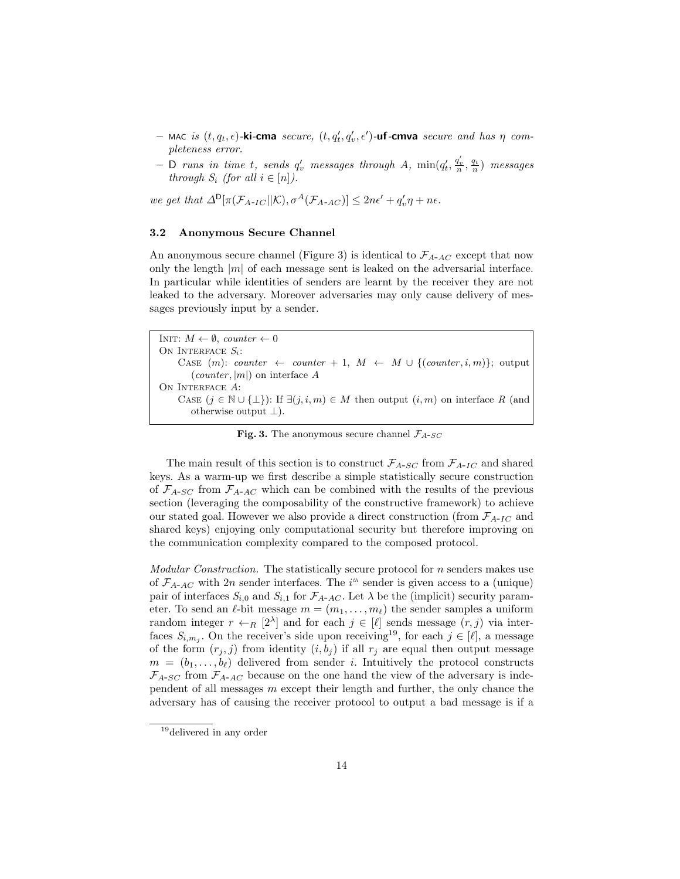- мас is  $(t, q_t, \epsilon)$ -ki-cma secure,  $(t, q'_t, q'_v, \epsilon')$ -uf-cmva secure and has η completeness error.
- $-$  D runs in time t, sends  $q'_v$  messages through A,  $\min(q'_t, \frac{q'_v}{n}, \frac{q_t}{n})$  messages through  $S_i$  (for all  $i \in [n]$ ).

we get that  $\Delta^{\mathsf{D}}[\pi(\mathcal{F}_{A\text{-}IC}||\mathcal{K}), \sigma^A(\mathcal{F}_{A\text{-}AC})] \leq 2n\epsilon' + q_v'\eta + n\epsilon$ .

## 3.2 Anonymous Secure Channel

An anonymous secure channel (Figure 3) is identical to  $\mathcal{F}_{A-AC}$  except that now only the length  $|m|$  of each message sent is leaked on the adversarial interface. In particular while identities of senders are learnt by the receiver they are not leaked to the adversary. Moreover adversaries may only cause delivery of messages previously input by a sender.

INIT:  $M \leftarrow \emptyset$ , counter  $\leftarrow 0$ ON INTERFACE  $S_i$ : CASE  $(m)$ : counter  $\leftarrow$  counter + 1,  $M \leftarrow M \cup \{ (counter, i, m) \}$ ; output (*counter*,  $|m|$ ) on interface A ON INTERFACE  $A$ : CASE  $(j \in \mathbb{N} \cup \{\bot\})$ : If  $\exists (j, i, m) \in M$  then output  $(i, m)$  on interface R (and otherwise output  $\perp$ ).

Fig. 3. The anonymous secure channel  $\mathcal{F}_{A-SC}$ 

The main result of this section is to construct  $\mathcal{F}_{A-SC}$  from  $\mathcal{F}_{A-IC}$  and shared keys. As a warm-up we first describe a simple statistically secure construction of  $\mathcal{F}_{A-SC}$  from  $\mathcal{F}_{A-AC}$  which can be combined with the results of the previous section (leveraging the composability of the constructive framework) to achieve our stated goal. However we also provide a direct construction (from  $\mathcal{F}_{A-IC}$  and shared keys) enjoying only computational security but therefore improving on the communication complexity compared to the composed protocol.

Modular Construction. The statistically secure protocol for n senders makes use of  $\mathcal{F}_{A-AC}$  with 2n sender interfaces. The  $i<sup>th</sup>$  sender is given access to a (unique) pair of interfaces  $S_{i,0}$  and  $S_{i,1}$  for  $\mathcal{F}_{A-AC}$ . Let  $\lambda$  be the (implicit) security parameter. To send an  $\ell$ -bit message  $m = (m_1, \ldots, m_\ell)$  the sender samples a uniform random integer  $r \leftarrow_R [2^{\lambda}]$  and for each  $j \in [\ell]$  sends message  $(r, j)$  via interfaces  $S_{i,m_j}$ . On the receiver's side upon receiving<sup>19</sup>, for each  $j \in [\ell]$ , a message of the form  $(r_i, j)$  from identity  $(i, b_i)$  if all  $r_i$  are equal then output message  $m = (b_1, \ldots, b_\ell)$  delivered from sender i. Intuitively the protocol constructs  $\mathcal{F}_{A-SC}$  from  $\mathcal{F}_{A-AC}$  because on the one hand the view of the adversary is independent of all messages m except their length and further, the only chance the adversary has of causing the receiver protocol to output a bad message is if a

 $\overline{^{19}}$ delivered in any order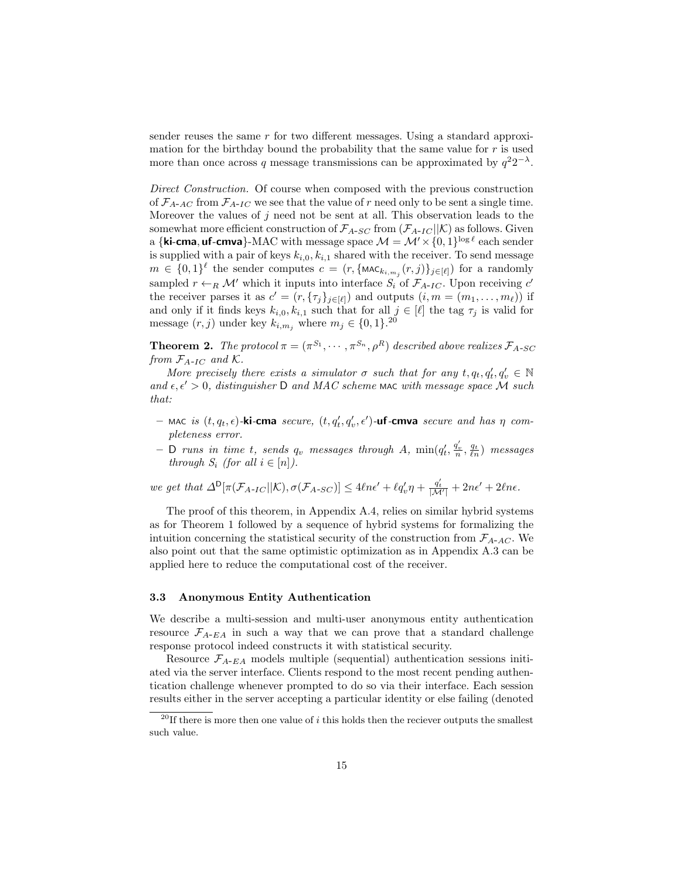sender reuses the same r for two different messages. Using a standard approximation for the birthday bound the probability that the same value for  $r$  is used more than once across q message transmissions can be approximated by  $q^2 2^{-\lambda}$ .

Direct Construction. Of course when composed with the previous construction of  $\mathcal{F}_{A-AC}$  from  $\mathcal{F}_{A-IC}$  we see that the value of r need only to be sent a single time. Moreover the values of  $j$  need not be sent at all. This observation leads to the somewhat more efficient construction of  $\mathcal{F}_{A-SC}$  from  $(\mathcal{F}_{A-IC}||\mathcal{K})$  as follows. Given a {**ki-cma, uf-cmva**}-MAC with message space  $\mathcal{M} = \mathcal{M}' \times \{0, 1\}^{\log \ell}$  each sender is supplied with a pair of keys  $k_{i,0}, k_{i,1}$  shared with the receiver. To send message  $m \in \{0,1\}^{\ell}$  the sender computes  $c = (r, \{\text{MAC}_{k_{i,m_j}}(r,j)\}_{j \in [\ell]})$  for a randomly sampled  $r \leftarrow_R \mathcal{M}'$  which it inputs into interface  $S_i$  of  $\mathcal{F}_{A-IC}$ . Upon receiving c' the receiver parses it as  $c' = (r, \{\tau_j\}_{j \in [\ell]})$  and outputs  $(i, m = (m_1, \ldots, m_\ell))$  if and only if it finds keys  $k_{i,0}, k_{i,1}$  such that for all  $j \in [\ell]$  the tag  $\tau_j$  is valid for message  $(r, j)$  under key  $k_{i, m_j}$  where  $m_j \in \{0, 1\}$ .<sup>20</sup>

**Theorem 2.** The protocol  $\pi = (\pi^{S_1}, \dots, \pi^{S_n}, \rho^R)$  described above realizes  $\mathcal{F}_{A-SC}$ from  $\mathcal{F}_{A-IC}$  and K.

More precisely there exists a simulator  $\sigma$  such that for any  $t, q_t, q'_t, q'_v \in \mathbb{N}$ and  $\epsilon, \epsilon' > 0$ , distinguisher D and MAC scheme MAC with message space M such that:

- мас is  $(t, q_t, \epsilon)$ -ki-cma secure,  $(t, q'_t, q'_v, \epsilon')$ -uf-cmva secure and has η completeness error.
- $-$  D runs in time t, sends  $q_v$  messages through A,  $\min(q'_t, \frac{q'_v}{n}, \frac{q_t}{\ell n})$  messages through  $S_i$  (for all  $i \in [n]$ ).

we get that  $\Delta^{\mathsf{D}}[\pi(\mathcal{F}_{A\text{-}IC}||\mathcal{K}), \sigma(\mathcal{F}_{A\text{-}SC})] \leq 4\ell n \epsilon' + \ell q_v' \eta + \frac{q_v'}{|\mathcal{M}'|} + 2n\epsilon' + 2\ell n \epsilon$ .

The proof of this theorem, in Appendix A.4, relies on similar hybrid systems as for Theorem 1 followed by a sequence of hybrid systems for formalizing the intuition concerning the statistical security of the construction from  $\mathcal{F}_{A-AC}$ . We also point out that the same optimistic optimization as in Appendix A.3 can be applied here to reduce the computational cost of the receiver.

## 3.3 Anonymous Entity Authentication

We describe a multi-session and multi-user anonymous entity authentication resource  $\mathcal{F}_{A-E}$  in such a way that we can prove that a standard challenge response protocol indeed constructs it with statistical security.

Resource  $\mathcal{F}_{A-E}$  models multiple (sequential) authentication sessions initiated via the server interface. Clients respond to the most recent pending authentication challenge whenever prompted to do so via their interface. Each session results either in the server accepting a particular identity or else failing (denoted

<sup>&</sup>lt;sup>20</sup>If there is more then one value of  $i$  this holds then the reciever outputs the smallest such value.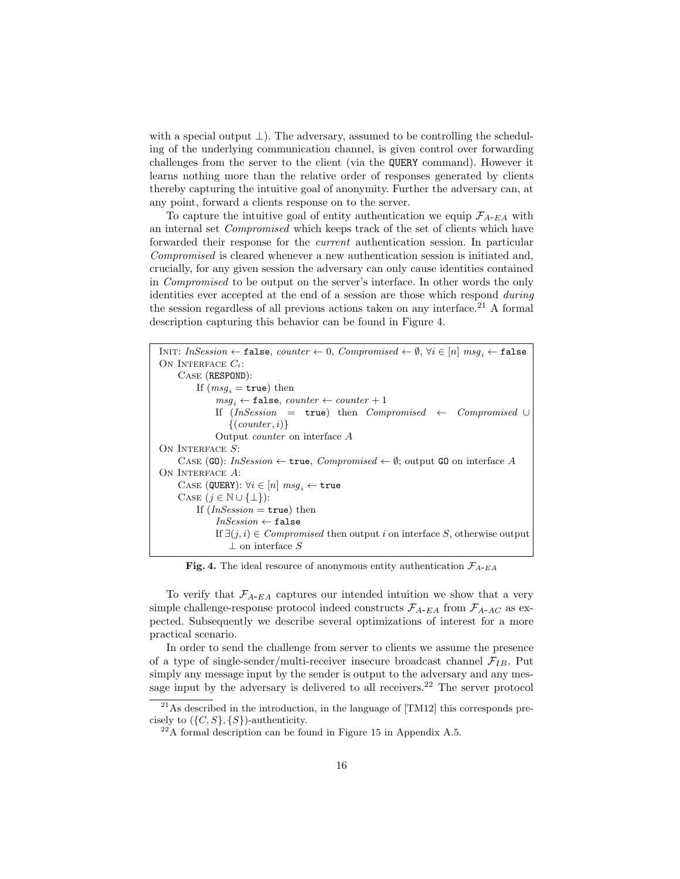with a special output  $\perp$ ). The adversary, assumed to be controlling the scheduling of the underlying communication channel, is given control over forwarding challenges from the server to the client (via the QUERY command). However it learns nothing more than the relative order of responses generated by clients thereby capturing the intuitive goal of anonymity. Further the adversary can, at any point, forward a clients response on to the server.

To capture the intuitive goal of entity authentication we equip  $\mathcal{F}_{A-EA}$  with an internal set Compromised which keeps track of the set of clients which have forwarded their response for the current authentication session. In particular Compromised is cleared whenever a new authentication session is initiated and, crucially, for any given session the adversary can only cause identities contained in Compromised to be output on the server's interface. In other words the only identities ever accepted at the end of a session are those which respond during the session regardless of all previous actions taken on any interface.<sup>21</sup> A formal description capturing this behavior can be found in Figure 4.

INIT: InSession ← false, counter ← 0, Compromised ←  $\emptyset$ ,  $\forall i \in [n]$  msq<sub>i</sub> ← false ON INTERFACE  $C_i$ : Case (RESPOND): If  $(msg_i = \text{true})$  then  $msg_i \leftarrow false, counter \leftarrow counter + 1$ If  $(InSession = true)$  then *Compromised* ← *Compromised* ∪  $\{(counter, i)\}\$ Output counter on interface A ON INTERFACE  $S$ : CASE (GO): InSession  $\leftarrow$  true, Compromised  $\leftarrow$  Ø; output GO on interface A ON INTERFACE  $A$ : CASE (QUERY):  $\forall i \in [n]$   $msg_i \leftarrow \texttt{true}$ CASE  $(j \in \mathbb{N} \cup \{\perp\})$ : If  $(InSession = true)$  then  $InSession \leftarrow false$ If  $\exists (j, i) \in \mathit{Compromised}$  then output i on interface S, otherwise output  $\perp$  on interface  $S$ 

Fig. 4. The ideal resource of anonymous entity authentication  $\mathcal{F}_{A-EA}$ 

To verify that  $\mathcal{F}_{A-E}$  captures our intended intuition we show that a very simple challenge-response protocol indeed constructs  $\mathcal{F}_{A-E,A}$  from  $\mathcal{F}_{A-A,C}$  as expected. Subsequently we describe several optimizations of interest for a more practical scenario.

In order to send the challenge from server to clients we assume the presence of a type of single-sender/multi-receiver insecure broadcast channel  $\mathcal{F}_{IB}$ . Put simply any message input by the sender is output to the adversary and any message input by the adversary is delivered to all receivers.<sup>22</sup> The server protocol

 $^{21}$ As described in the introduction, in the language of [TM12] this corresponds precisely to  $({C, S}, {S})$ -authenticity.

 $^{22}$ A formal description can be found in Figure 15 in Appendix A.5.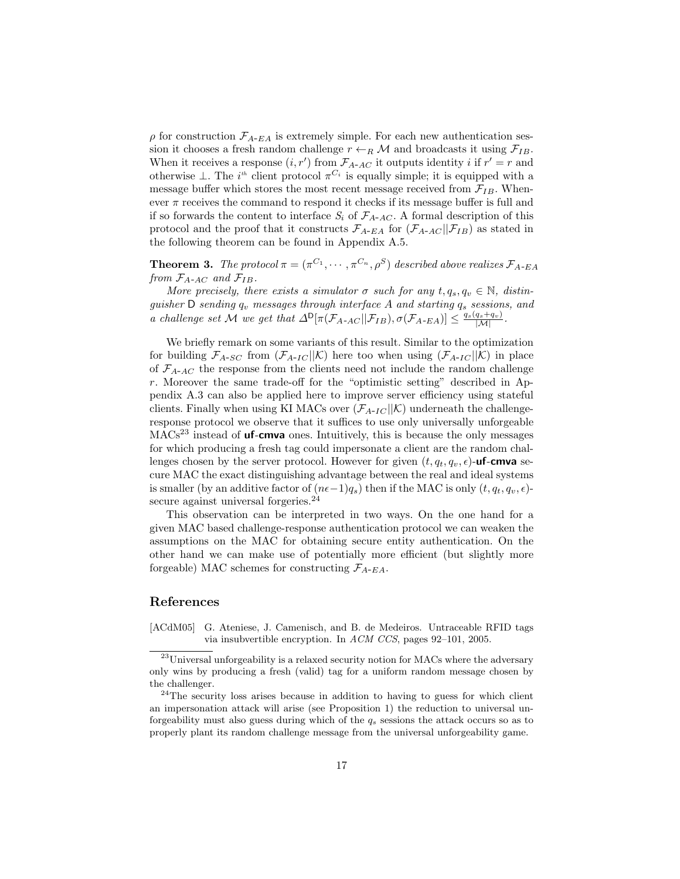$\rho$  for construction  $\mathcal{F}_{A-E,A}$  is extremely simple. For each new authentication session it chooses a fresh random challenge  $r \leftarrow_R M$  and broadcasts it using  $\mathcal{F}_{IB}$ . When it receives a response  $(i, r')$  from  $\mathcal{F}_{A-AC}$  it outputs identity i if  $r' = r$  and otherwise  $\perp$ . The *i*<sup>th</sup> client protocol  $\pi^{C_i}$  is equally simple; it is equipped with a message buffer which stores the most recent message received from  $\mathcal{F}_{IB}$ . Whenever  $\pi$  receives the command to respond it checks if its message buffer is full and if so forwards the content to interface  $S_i$  of  $\mathcal{F}_{A-AC}$ . A formal description of this protocol and the proof that it constructs  $\mathcal{F}_{A-EA}$  for  $(\mathcal{F}_{A-AC}||\mathcal{F}_{IB})$  as stated in the following theorem can be found in Appendix A.5.

**Theorem 3.** The protocol  $\pi = (\pi^{C_1}, \dots, \pi^{C_n}, \rho^S)$  described above realizes  $\mathcal{F}_{A-EA}$ from  $\mathcal{F}_{A-AC}$  and  $\mathcal{F}_{IB}$ .

More precisely, there exists a simulator  $\sigma$  such for any  $t, q_s, q_v \in \mathbb{N}$ , distinguisher D sending  $q_v$  messages through interface A and starting  $q_s$  sessions, and a challenge set M we get that  $\Delta^D[\pi(\mathcal{F}_{A-AC}||\mathcal{F}_{IB}), \sigma(\mathcal{F}_{A-EA})] \leq \frac{q_s(q_s+q_v)}{|\mathcal{M}|}.$ 

We briefly remark on some variants of this result. Similar to the optimization for building  $\mathcal{F}_{A-SC}$  from  $(\mathcal{F}_{A-IC}||\mathcal{K})$  here too when using  $(\mathcal{F}_{A-IC}||\mathcal{K})$  in place of  $\mathcal{F}_{A-AC}$  the response from the clients need not include the random challenge r. Moreover the same trade-off for the "optimistic setting" described in Appendix A.3 can also be applied here to improve server efficiency using stateful clients. Finally when using KI MACs over  $(\mathcal{F}_{A-IC}||\mathcal{K})$  underneath the challengeresponse protocol we observe that it suffices to use only universally unforgeable  $MACs<sup>23</sup>$  instead of **uf-cmva** ones. Intuitively, this is because the only messages for which producing a fresh tag could impersonate a client are the random challenges chosen by the server protocol. However for given  $(t, q_t, q_v, \epsilon)$ -uf-cmva secure MAC the exact distinguishing advantage between the real and ideal systems is smaller (by an additive factor of  $(n\epsilon-1)q_s$ ) then if the MAC is only  $(t, q_t, q_v, \epsilon)$ secure against universal forgeries.<sup>24</sup>

This observation can be interpreted in two ways. On the one hand for a given MAC based challenge-response authentication protocol we can weaken the assumptions on the MAC for obtaining secure entity authentication. On the other hand we can make use of potentially more efficient (but slightly more forgeable) MAC schemes for constructing  $\mathcal{F}_{A-E,A}$ .

# References

[ACdM05] G. Ateniese, J. Camenisch, and B. de Medeiros. Untraceable RFID tags via insubvertible encryption. In ACM CCS, pages 92–101, 2005.

<sup>&</sup>lt;sup>23</sup>Universal unforgeability is a relaxed security notion for MACs where the adversary only wins by producing a fresh (valid) tag for a uniform random message chosen by the challenger.

 $24$ The security loss arises because in addition to having to guess for which client an impersonation attack will arise (see Proposition 1) the reduction to universal unforgeability must also guess during which of the  $q_s$  sessions the attack occurs so as to properly plant its random challenge message from the universal unforgeability game.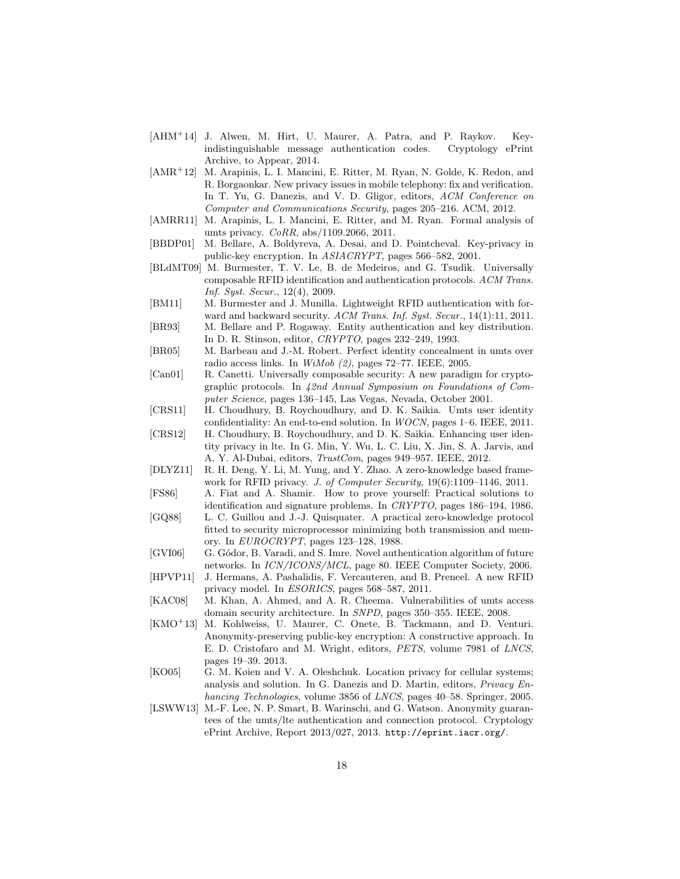- [AHM<sup>+</sup>14] J. Alwen, M. Hirt, U. Maurer, A. Patra, and P. Raykov. Keyindistinguishable message authentication codes. Cryptology ePrint Archive, to Appear, 2014.
- [AMR<sup>+</sup>12] M. Arapinis, L. I. Mancini, E. Ritter, M. Ryan, N. Golde, K. Redon, and R. Borgaonkar. New privacy issues in mobile telephony: fix and verification. In T. Yu, G. Danezis, and V. D. Gligor, editors, ACM Conference on Computer and Communications Security, pages 205–216. ACM, 2012.
- [AMRR11] M. Arapinis, L. I. Mancini, E. Ritter, and M. Ryan. Formal analysis of umts privacy. CoRR, abs/1109.2066, 2011.
- [BBDP01] M. Bellare, A. Boldyreva, A. Desai, and D. Pointcheval. Key-privacy in public-key encryption. In ASIACRYPT, pages 566–582, 2001.
- [BLdMT09] M. Burmester, T. V. Le, B. de Medeiros, and G. Tsudik. Universally composable RFID identification and authentication protocols. ACM Trans. Inf. Syst. Secur., 12(4), 2009.
- [BM11] M. Burmester and J. Munilla. Lightweight RFID authentication with forward and backward security. ACM Trans. Inf. Syst. Secur., 14(1):11, 2011.
- [BR93] M. Bellare and P. Rogaway. Entity authentication and key distribution. In D. R. Stinson, editor, CRYPTO, pages 232–249, 1993.
- [BR05] M. Barbeau and J.-M. Robert. Perfect identity concealment in umts over radio access links. In WiMob (2), pages 72–77. IEEE, 2005.
- [Can01] R. Canetti. Universally composable security: A new paradigm for cryptographic protocols. In 42nd Annual Symposium on Foundations of Computer Science, pages 136–145, Las Vegas, Nevada, October 2001.
- [CRS11] H. Choudhury, B. Roychoudhury, and D. K. Saikia. Umts user identity confidentiality: An end-to-end solution. In WOCN, pages 1–6. IEEE, 2011.
- [CRS12] H. Choudhury, B. Roychoudhury, and D. K. Saikia. Enhancing user identity privacy in lte. In G. Min, Y. Wu, L. C. Liu, X. Jin, S. A. Jarvis, and A. Y. Al-Dubai, editors, TrustCom, pages 949–957. IEEE, 2012.
- [DLYZ11] R. H. Deng, Y. Li, M. Yung, and Y. Zhao. A zero-knowledge based framework for RFID privacy. J. of Computer Security, 19(6):1109-1146, 2011.
- [FS86] A. Fiat and A. Shamir. How to prove yourself: Practical solutions to identification and signature problems. In CRYPTO, pages 186–194, 1986.
- [GQ88] L. C. Guillou and J.-J. Quisquater. A practical zero-knowledge protocol fitted to security microprocessor minimizing both transmission and memory. In EUROCRYPT, pages 123–128, 1988.
- [GVI06] G. Gódor, B. Varadi, and S. Imre. Novel authentication algorithm of future networks. In ICN/ICONS/MCL, page 80. IEEE Computer Society, 2006.
- [HPVP11] J. Hermans, A. Pashalidis, F. Vercauteren, and B. Preneel. A new RFID privacy model. In ESORICS, pages 568–587, 2011.
- [KAC08] M. Khan, A. Ahmed, and A. R. Cheema. Vulnerabilities of umts access domain security architecture. In SNPD, pages 350–355. IEEE, 2008.
- [KMO<sup>+</sup>13] M. Kohlweiss, U. Maurer, C. Onete, B. Tackmann, and D. Venturi. Anonymity-preserving public-key encryption: A constructive approach. In E. D. Cristofaro and M. Wright, editors, PETS, volume 7981 of LNCS, pages 19–39. 2013.
- [KO05] G. M. Køien and V. A. Oleshchuk. Location privacy for cellular systems; analysis and solution. In G. Danezis and D. Martin, editors, Privacy Enhancing Technologies, volume 3856 of LNCS, pages 40–58. Springer, 2005.
- [LSWW13] M.-F. Lee, N. P. Smart, B. Warinschi, and G. Watson. Anonymity guarantees of the umts/lte authentication and connection protocol. Cryptology ePrint Archive, Report 2013/027, 2013. http://eprint.iacr.org/.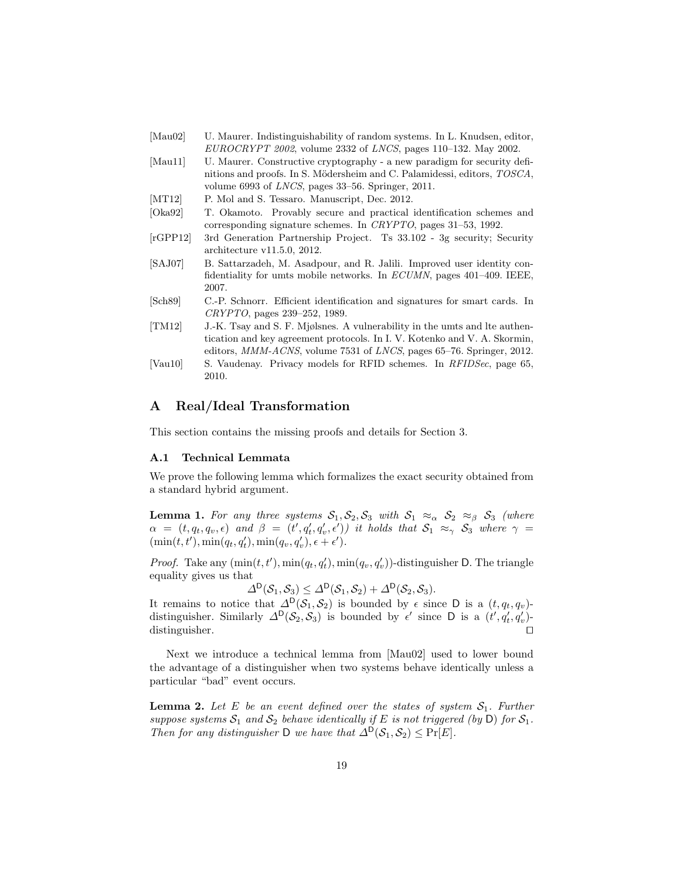- [Mau02] U. Maurer. Indistinguishability of random systems. In L. Knudsen, editor,  $EUROCRYPT 2002$ , volume 2332 of *LNCS*, pages 110–132. May 2002.
- [Mau11] U. Maurer. Constructive cryptography a new paradigm for security definitions and proofs. In S. Mödersheim and C. Palamidessi, editors, TOSCA, volume 6993 of LNCS, pages 33–56. Springer, 2011.
- [MT12] P. Mol and S. Tessaro. Manuscript, Dec. 2012.
- [Oka92] T. Okamoto. Provably secure and practical identification schemes and corresponding signature schemes. In CRYPTO, pages 31–53, 1992.
- [rGPP12] 3rd Generation Partnership Project. Ts 33.102 3g security; Security architecture v11.5.0, 2012.
- [SAJ07] B. Sattarzadeh, M. Asadpour, and R. Jalili. Improved user identity confidentiality for umts mobile networks. In  $ECUMN$ , pages 401–409. IEEE, 2007.
- [Sch89] C.-P. Schnorr. Efficient identification and signatures for smart cards. In CRYPTO, pages 239–252, 1989.
- [TM12] J.-K. Tsay and S. F. Mjølsnes. A vulnerability in the umts and lte authentication and key agreement protocols. In I. V. Kotenko and V. A. Skormin, editors, MMM-ACNS, volume 7531 of LNCS, pages 65–76. Springer, 2012.
- [Vau10] S. Vaudenay. Privacy models for RFID schemes. In RFIDSec, page 65, 2010.

# A Real/Ideal Transformation

This section contains the missing proofs and details for Section 3.

## A.1 Technical Lemmata

We prove the following lemma which formalizes the exact security obtained from a standard hybrid argument.

**Lemma 1.** For any three systems  $S_1, S_2, S_3$  with  $S_1 \approx_{\alpha} S_2 \approx_{\beta} S_3$  (where  $\alpha = (t, q_t, q_v, \epsilon)$  and  $\beta = (t', q'_t, q'_v, \epsilon')$  it holds that  $S_1 \approx_{\gamma} S_3$  where  $\gamma =$  $(\min(t, t'), \min(q_t, q'_t), \min(q_v, q'_v), \epsilon + \epsilon').$ 

*Proof.* Take any  $(\min(t, t'), \min(q_t, q'_t), \min(q_v, q'_v))$ -distinguisher D. The triangle equality gives us that

 $\Delta^{D}(\mathcal{S}_1, \mathcal{S}_3) \leq \Delta^{D}(\mathcal{S}_1, \mathcal{S}_2) + \Delta^{D}(\mathcal{S}_2, \mathcal{S}_3).$ 

It remains to notice that  $\Delta^{D}(\mathcal{S}_1, \mathcal{S}_2)$  is bounded by  $\epsilon$  since D is a  $(t, q_t, q_v)$ distinguisher. Similarly  $\Delta^D(\mathcal{S}_2, \mathcal{S}_3)$  is bounded by  $\epsilon'$  since D is a  $(t', q'_t, q'_v)$ distinguisher.  $\square$ 

Next we introduce a technical lemma from [Mau02] used to lower bound the advantage of a distinguisher when two systems behave identically unless a particular "bad" event occurs.

**Lemma 2.** Let E be an event defined over the states of system  $S_1$ . Further suppose systems  $S_1$  and  $S_2$  behave identically if E is not triggered (by D) for  $S_1$ . Then for any distinguisher D we have that  $\Delta^{D}(\mathcal{S}_1, \mathcal{S}_2) \leq Pr[E]$ .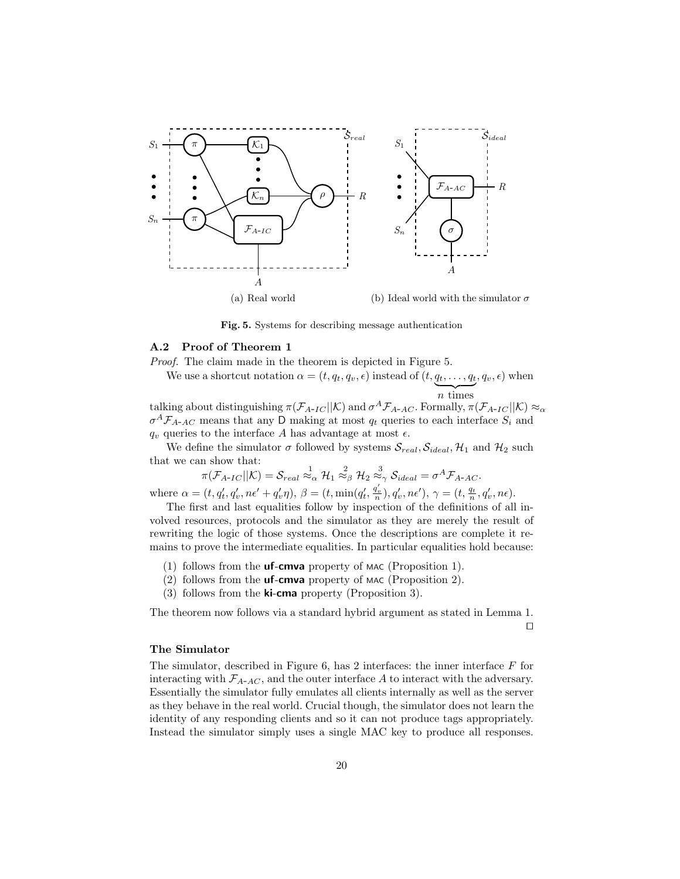

Fig. 5. Systems for describing message authentication

# A.2 Proof of Theorem 1

Proof. The claim made in the theorem is depicted in Figure 5.

We use a shortcut notation  $\alpha = (t, q_t, q_v, \epsilon)$  instead of  $(t, q_t, \ldots, q_t, q_v, \epsilon)$  when  $\overline{n}$  times

talking about distinguishing  $\pi(\mathcal{F}_{A-IC}||\mathcal{K})$  and  $\sigma^A \mathcal{F}_{A-AC}$ . Formally,  $\pi(\mathcal{F}_{A-IC}||\mathcal{K}) \approx_{\alpha}$  $\sigma^{A} \mathcal{F}_{A-AC}$  means that any D making at most  $q_t$  queries to each interface  $S_i$  and  $q_v$  queries to the interface A has advantage at most  $\epsilon$ .

We define the simulator  $\sigma$  followed by systems  $\mathcal{S}_{real}, \mathcal{S}_{ideal}, \mathcal{H}_1$  and  $\mathcal{H}_2$  such that we can show that:

$$
\pi(\mathcal{F}_{A-IC}||\mathcal{K})=\mathcal{S}_{real} \overset{1}{\approx}_{\alpha} \mathcal{H}_1 \overset{2}{\approx}_{\beta} \mathcal{H}_2 \overset{3}{\approx}_{\gamma} \mathcal{S}_{ideal}=\sigma^A \mathcal{F}_{A-AC}.
$$

where  $\alpha = (t, q'_t, q'_v, n\epsilon' + q'_v \eta), \ \beta = (t, \min(q'_t, \frac{q'_v}{n}), q'_v, n\epsilon'), \ \gamma = (t, \frac{q_t}{n}, q'_v, n\epsilon).$ 

The first and last equalities follow by inspection of the definitions of all involved resources, protocols and the simulator as they are merely the result of rewriting the logic of those systems. Once the descriptions are complete it remains to prove the intermediate equalities. In particular equalities hold because:

- (1) follows from the **uf-cmva** property of MAC (Proposition 1).
- (2) follows from the **uf-cmva** property of MAC (Proposition 2).
- (3) follows from the **ki-cma** property (Proposition 3).

The theorem now follows via a standard hybrid argument as stated in Lemma 1.

 $\Box$ 

#### The Simulator

The simulator, described in Figure 6, has 2 interfaces: the inner interface  $F$  for interacting with  $\mathcal{F}_{A-AC}$ , and the outer interface A to interact with the adversary. Essentially the simulator fully emulates all clients internally as well as the server as they behave in the real world. Crucial though, the simulator does not learn the identity of any responding clients and so it can not produce tags appropriately. Instead the simulator simply uses a single MAC key to produce all responses.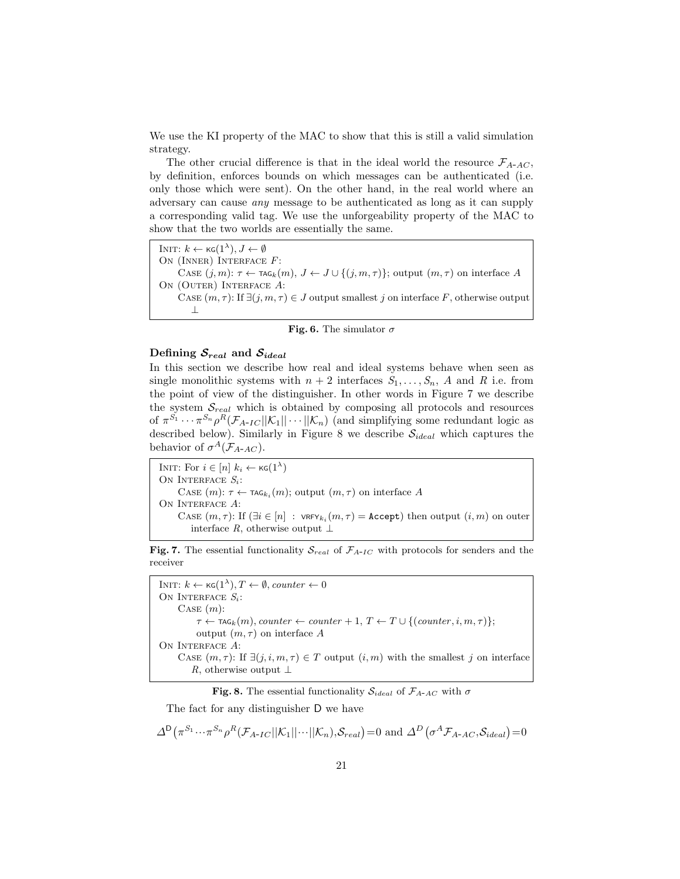We use the KI property of the MAC to show that this is still a valid simulation strategy.

The other crucial difference is that in the ideal world the resource  $\mathcal{F}_{A-AC}$ , by definition, enforces bounds on which messages can be authenticated (i.e. only those which were sent). On the other hand, in the real world where an adversary can cause any message to be authenticated as long as it can supply a corresponding valid tag. We use the unforgeability property of the MAC to show that the two worlds are essentially the same.

INIT:  $k \leftarrow \kappa \mathsf{G}(1^{\lambda}), J \leftarrow \emptyset$ ON (INNER) INTERFACE  $F$ : CASE  $(j, m)$ :  $\tau \leftarrow \text{TAG}_k(m), J \leftarrow J \cup \{(j, m, \tau)\}$ ; output  $(m, \tau)$  on interface A ON (OUTER) INTERFACE A: CASE  $(m, \tau)$ : If  $\exists (j, m, \tau) \in J$  output smallest j on interface F, otherwise output ⊥

Fig. 6. The simulator  $\sigma$ 

# Defining  $S_{real}$  and  $S_{ideal}$

In this section we describe how real and ideal systems behave when seen as single monolithic systems with  $n + 2$  interfaces  $S_1, \ldots, S_n$ , A and R i.e. from the point of view of the distinguisher. In other words in Figure 7 we describe the system  $\mathcal{S}_{real}$  which is obtained by composing all protocols and resources of  $\pi^{S_1} \cdots \pi^{S_n} \rho^R (\mathcal{F}_{A-IC} || \mathcal{K}_1 || \cdots || \mathcal{K}_n)$  (and simplifying some redundant logic as described below). Similarly in Figure 8 we describe  $\mathcal{S}_{ideal}$  which captures the behavior of  $\sigma^A(\mathcal{F}_{A-AC})$ .

INIT: For  $i \in [n]$   $k_i \leftarrow \kappa \mathsf{G}(1^{\lambda})$ ON INTERFACE  $S_i$ : CASE  $(m)$ :  $\tau \leftarrow \text{TAG}_{k_i}(m)$ ; output  $(m, \tau)$  on interface A ON INTERFACE  $A$ : CASE  $(m, \tau)$ : If  $\left( \exists i \in [n] : \text{vRFY}_{k_i}(m, \tau) = \text{Accept} \right)$  then output  $(i, m)$  on outer interface R, otherwise output  $\perp$ 

Fig. 7. The essential functionality  $S_{real}$  of  $\mathcal{F}_{A-IC}$  with protocols for senders and the receiver

INIT:  $k \leftarrow \kappa \mathsf{G}(1^{\lambda}), T \leftarrow \emptyset, counter \leftarrow 0$ ON INTERFACE  $S_i$ : CASE  $(m)$ :  $\tau \leftarrow \text{TAG}_k(m), counter \leftarrow counter + 1, T \leftarrow T \cup \{(counter, i, m, \tau)\};$ output  $(m, \tau)$  on interface A ON INTERFACE  $A$ : CASE  $(m, \tau)$ : If  $\exists (j, i, m, \tau) \in T$  output  $(i, m)$  with the smallest j on interface R, otherwise output  $\perp$ 

Fig. 8. The essential functionality  $S_{ideal}$  of  $\mathcal{F}_{A-AC}$  with  $\sigma$ 

The fact for any distinguisher D we have

$$
\Delta^{\mathsf{D}}(\pi^{S_1}\cdots\pi^{S_n}\rho^R(\mathcal{F}_{A\text{-}IC}||\mathcal{K}_1||\cdots||\mathcal{K}_n),\mathcal{S}_{real})=0 \text{ and } \Delta^{\mathsf{D}}(\sigma^A\mathcal{F}_{A\text{-}AC},\mathcal{S}_{ideal})=0
$$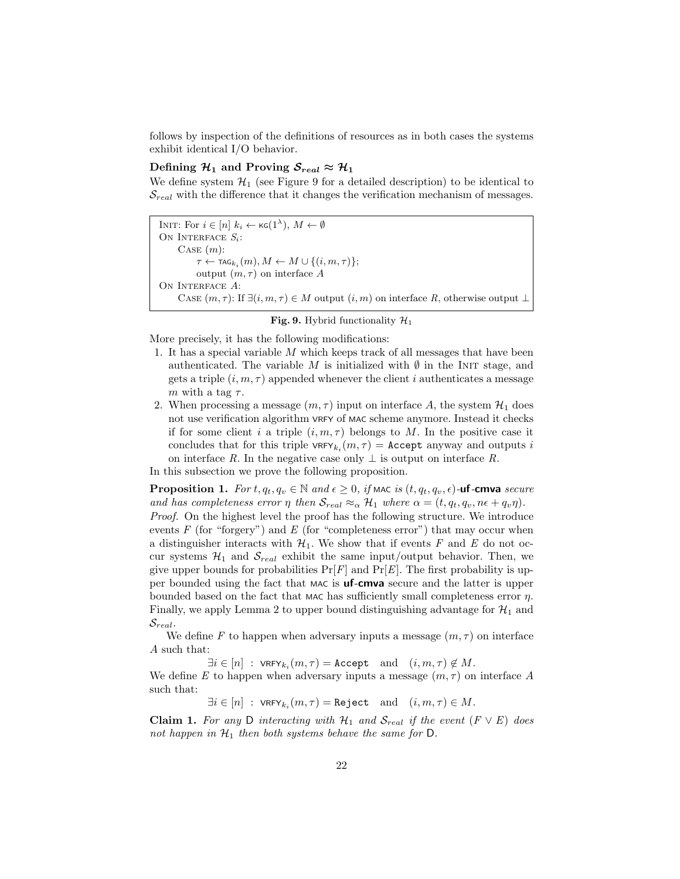follows by inspection of the definitions of resources as in both cases the systems exhibit identical I/O behavior.

# Defining  $\mathcal{H}_1$  and Proving  $\mathcal{S}_{real} \approx \mathcal{H}_1$

We define system  $\mathcal{H}_1$  (see Figure 9 for a detailed description) to be identical to  $\mathcal{S}_{real}$  with the difference that it changes the verification mechanism of messages.

INIT: For  $i \in [n]$   $k_i \leftarrow \kappa \mathsf{G}(1^{\lambda}), M \leftarrow \emptyset$ ON INTERFACE  $S_i$ : CASE  $(m)$ :  $\tau \leftarrow \texttt{TAG}_{k_i}(m), M \leftarrow M \cup \{(i, m, \tau)\};$ output  $(m, \tau)$  on interface A ON INTERFACE  $A$ : CASE  $(m, \tau)$ : If  $\exists (i, m, \tau) \in M$  output  $(i, m)$  on interface R, otherwise output  $\bot$ 

#### **Fig. 9.** Hybrid functionality  $\mathcal{H}_1$

More precisely, it has the following modifications:

- 1. It has a special variable M which keeps track of all messages that have been authenticated. The variable M is initialized with  $\emptyset$  in the INIT stage, and gets a triple  $(i, m, \tau)$  appended whenever the client i authenticates a message m with a tag  $\tau$ .
- 2. When processing a message  $(m, \tau)$  input on interface A, the system  $\mathcal{H}_1$  does not use verification algorithm VRFY of MAC scheme anymore. Instead it checks if for some client i a triple  $(i, m, \tau)$  belongs to M. In the positive case it concludes that for this triple  $\mathsf{vRFY}_{k_i}(m,\tau) = \texttt{Accept}$  anyway and outputs  $i$ on interface R. In the negative case only  $\perp$  is output on interface R.

In this subsection we prove the following proposition.

**Proposition 1.** For  $t, q_t, q_v \in \mathbb{N}$  and  $\epsilon \geq 0$ , if MAC is  $(t, q_t, q_v, \epsilon)$ -uf-cmva secure and has completeness error  $\eta$  then  $S_{real} \approx_{\alpha} \mathcal{H}_1$  where  $\alpha = (t, q_t, q_v, n\epsilon + q_v \eta)$ .

Proof. On the highest level the proof has the following structure. We introduce events  $F$  (for "forgery") and  $E$  (for "completeness error") that may occur when a distinguisher interacts with  $\mathcal{H}_1$ . We show that if events F and E do not occur systems  $\mathcal{H}_1$  and  $\mathcal{S}_{real}$  exhibit the same input/output behavior. Then, we give upper bounds for probabilities  $Pr[F]$  and  $Pr[E]$ . The first probability is upper bounded using the fact that MAC is uf-cmva secure and the latter is upper bounded based on the fact that MAC has sufficiently small completeness error  $\eta$ . Finally, we apply Lemma 2 to upper bound distinguishing advantage for  $\mathcal{H}_1$  and  $S_{real}$ .

We define F to happen when adversary inputs a message  $(m, \tau)$  on interface A such that:

 $\exists i \in [n]$  : VRFY $_{k_i}(m,\tau) = \texttt{Accept}$  and  $(i, m, \tau) \not\in M$ . We define E to happen when adversary inputs a message  $(m, \tau)$  on interface A such that:

 $\exists i \in [n]$  : VRFY $_{k_i}(m,\tau) = \mathtt{Reject}$  and  $(i, m, \tau) \in M$ .

Claim 1. For any D interacting with  $\mathcal{H}_1$  and  $\mathcal{S}_{real}$  if the event  $(F \vee E)$  does not happen in  $\mathcal{H}_1$  then both systems behave the same for D.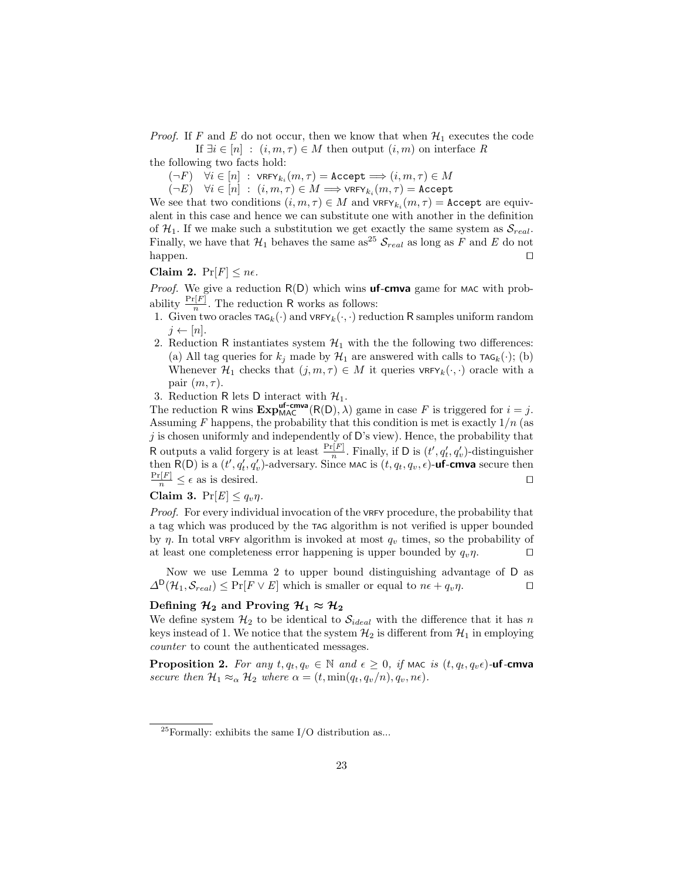*Proof.* If F and E do not occur, then we know that when  $\mathcal{H}_1$  executes the code If  $\exists i \in [n] : (i, m, \tau) \in M$  then output  $(i, m)$  on interface R

the following two facts hold:

 $(\neg F) \quad \forall i \in [n]$  : VRFY $_{k_i}(m,\tau) = \texttt{Accept} \Longrightarrow (i, m, \tau) \in M$ 

 $(\neg E) \quad \forall i \in [n] \; : \; (i, m, \tau) \in M \Longrightarrow \mathsf{vRFY}_{k_i}(m, \tau) = \mathtt{Accept}$ 

We see that two conditions  $(i, m, \tau) \in M$  and  $\text{vRFY}_{k_i}(m, \tau) = \text{Accept}$  are equivalent in this case and hence we can substitute one with another in the definition of  $\mathcal{H}_1$ . If we make such a substitution we get exactly the same system as  $\mathcal{S}_{real}$ . Finally, we have that  $\mathcal{H}_1$  behaves the same as<sup>25</sup>  $\mathcal{S}_{real}$  as long as F and E do not happen.  $\Box$ 

Claim 2. 
$$
Pr[F] \leq n\epsilon
$$
.

*Proof.* We give a reduction  $R(D)$  which wins **uf-cmva** game for MAC with probability  $\frac{\Pr[F]}{n}$ . The reduction R works as follows:

- 1. Given two oracles  $\text{TAG}_k(\cdot)$  and  $\text{VRFY}_k(\cdot, \cdot)$  reduction R samples uniform random  $j \leftarrow [n]$ .
- 2. Reduction R instantiates system  $\mathcal{H}_1$  with the the following two differences: (a) All tag queries for  $k_j$  made by  $\mathcal{H}_1$  are answered with calls to  $\text{TAG}_k(\cdot)$ ; (b) Whenever  $\mathcal{H}_1$  checks that  $(j, m, \tau) \in M$  it queries  $\text{VRFY}_k(\cdot, \cdot)$  oracle with a pair  $(m, \tau)$ .
- 3. Reduction R lets D interact with  $\mathcal{H}_1$ .

The reduction R wins  $\operatorname{Exp}_{\text{MAC}}^{\text{uf-cmva}}(R(D), \lambda)$  game in case F is triggered for  $i = j$ . Assuming F happens, the probability that this condition is met is exactly  $1/n$  (as  $j$  is chosen uniformly and independently of D's view). Hence, the probability that R outputs a valid forgery is at least  $\frac{\Pr[F]}{n}$ . Finally, if D is  $(t', q'_t, q'_v)$ -distinguisher then R(D) is a  $(t', q'_t, q'_v)$ -adversary. Since mac is  $(t, q_t, q_v, \epsilon)$ -uf-cmva secure then  $\frac{\Pr[F]}{n} \leq \epsilon$  as is desired.

Claim 3.  $Pr[E] \leq q_v \eta$ .

Proof. For every individual invocation of the VRFY procedure, the probability that a tag which was produced by the TAG algorithm is not verified is upper bounded by  $\eta$ . In total VRFY algorithm is invoked at most  $q_v$  times, so the probability of at least one completeness error happening is upper bounded by  $q_v \eta$ .

Now we use Lemma 2 to upper bound distinguishing advantage of D as  $\Delta^{D}(\mathcal{H}_{1}, \mathcal{S}_{real}) \leq \Pr[F \vee E]$  which is smaller or equal to  $n\epsilon + q_{v}\eta$ .

## Defining  $\mathcal{H}_2$  and Proving  $\mathcal{H}_1 \approx \mathcal{H}_2$

We define system  $\mathcal{H}_2$  to be identical to  $\mathcal{S}_{ideal}$  with the difference that it has n keys instead of 1. We notice that the system  $\mathcal{H}_2$  is different from  $\mathcal{H}_1$  in employing counter to count the authenticated messages.

**Proposition 2.** For any  $t, q_t, q_v \in \mathbb{N}$  and  $\epsilon \geq 0$ , if mac is  $(t, q_t, q_v \epsilon)$ -uf-cmva secure then  $\mathcal{H}_1 \approx_\alpha \mathcal{H}_2$  where  $\alpha = (t, \min(q_t, q_v/n), q_v, n\epsilon)$ .

 $^{25}$ Formally: exhibits the same I/O distribution as...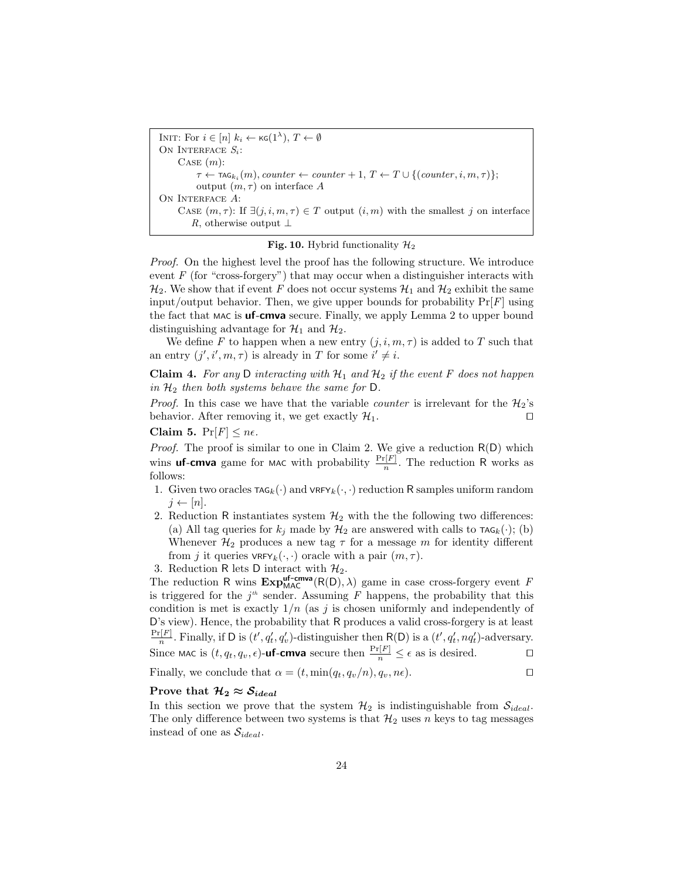INIT: For  $i \in [n]$   $k_i \leftarrow \kappa \mathsf{G}(1^{\lambda}), T \leftarrow \emptyset$ ON INTERFACE  $S_i$ : CASE  $(m)$ :  $\tau \leftarrow \text{TAG}_{k_i}(m), counter \leftarrow counter + 1, T \leftarrow T \cup \{(counter, i, m, \tau)\};$ output  $(m, \tau)$  on interface A ON INTERFACE  $A$ : CASE  $(m, \tau)$ : If  $\exists (i, i, m, \tau) \in T$  output  $(i, m)$  with the smallest j on interface R, otherwise output  $\perp$ 

#### Fig. 10. Hybrid functionality  $\mathcal{H}_2$

Proof. On the highest level the proof has the following structure. We introduce event  $F$  (for "cross-forgery") that may occur when a distinguisher interacts with  $\mathcal{H}_2$ . We show that if event F does not occur systems  $\mathcal{H}_1$  and  $\mathcal{H}_2$  exhibit the same input/output behavior. Then, we give upper bounds for probability  $Pr[F]$  using the fact that MAC is **uf-cmva** secure. Finally, we apply Lemma 2 to upper bound distinguishing advantage for  $\mathcal{H}_1$  and  $\mathcal{H}_2$ .

We define F to happen when a new entry  $(j, i, m, \tau)$  is added to T such that an entry  $(j', i', m, \tau)$  is already in T for some  $i' \neq i$ .

**Claim 4.** For any D interacting with  $\mathcal{H}_1$  and  $\mathcal{H}_2$  if the event F does not happen in  $\mathcal{H}_2$  then both systems behave the same for  $D$ .

*Proof.* In this case we have that the variable *counter* is irrelevant for the  $\mathcal{H}_2$ 's behavior. After removing it, we get exactly  $\mathcal{H}_1$ .

Claim 5.  $Pr[F] \leq n\epsilon$ .

*Proof.* The proof is similar to one in Claim 2. We give a reduction  $R(D)$  which wins **uf-cmva** game for MAC with probability  $\frac{Pr[F]}{n}$ . The reduction R works as follows:

- 1. Given two oracles  $\text{TAG}_k(\cdot)$  and  $\text{VRFY}_k(\cdot, \cdot)$  reduction R samples uniform random  $i \leftarrow [n]$ .
- 2. Reduction R instantiates system  $\mathcal{H}_2$  with the the following two differences: (a) All tag queries for  $k_j$  made by  $\mathcal{H}_2$  are answered with calls to  $\text{TAG}_k(\cdot)$ ; (b) Whenever  $\mathcal{H}_2$  produces a new tag  $\tau$  for a message m for identity different from j it queries  $\text{VRFY}_k(\cdot, \cdot)$  oracle with a pair  $(m, \tau)$ .
- 3. Reduction R lets D interact with  $\mathcal{H}_2$ .

The reduction R wins  $\mathbf{Exp}_{\mathsf{MAC}}^{\mathsf{uf-cmwa}}(R(D), \lambda)$  game in case cross-forgery event F is triggered for the  $j<sup>th</sup>$  sender. Assuming F happens, the probability that this condition is met is exactly  $1/n$  (as j is chosen uniformly and independently of D's view). Hence, the probability that R produces a valid cross-forgery is at least  $\Pr[F]$  $\frac{f_1[F]}{n}$ . Finally, if D is  $(t', q'_t, q'_v)$ -distinguisher then R(D) is a  $(t', q'_t, nq'_t)$ -adversary. Since MAC is  $(t, q_t, q_v, \epsilon)$ -uf-cmva secure then  $\frac{\Pr[F]}{n} \leq \epsilon$  as is desired.

Finally, we conclude that  $\alpha = (t, \min(q_t, q_v/n), q_v, n\epsilon)$ .

# Prove that  $\mathcal{H}_2 \approx \mathcal{S}_{ideal}$

In this section we prove that the system  $\mathcal{H}_2$  is indistinguishable from  $\mathcal{S}_{ideal}$ . The only difference between two systems is that  $\mathcal{H}_2$  uses n keys to tag messages instead of one as  $\mathcal{S}_{ideal}$ .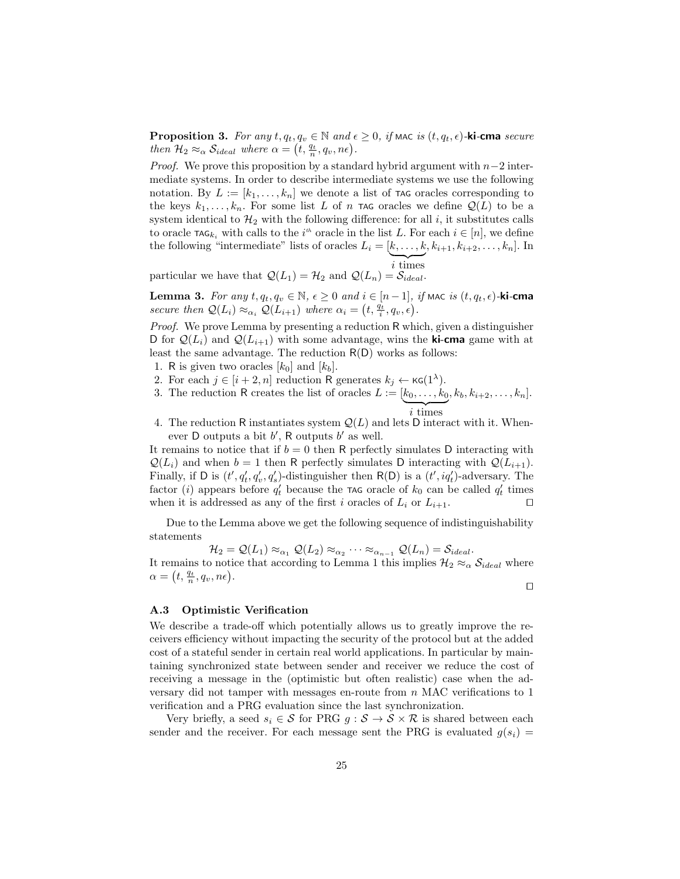**Proposition 3.** For any  $t, q_t, q_v \in \mathbb{N}$  and  $\epsilon \geq 0$ , if MAC is  $(t, q_t, \epsilon)$ -ki-cma secure then  $\mathcal{H}_2 \approx_{\alpha} \mathcal{S}_{ideal}$  where  $\alpha = (t, \frac{q_t}{n}, q_v, n\epsilon)$ .

*Proof.* We prove this proposition by a standard hybrid argument with  $n-2$  intermediate systems. In order to describe intermediate systems we use the following notation. By  $L := [k_1, \ldots, k_n]$  we denote a list of  $\tau$ AG oracles corresponding to the keys  $k_1, \ldots, k_n$ . For some list L of n TAG oracles we define  $\mathcal{Q}(L)$  to be a system identical to  $\mathcal{H}_2$  with the following difference: for all i, it substitutes calls to oracle  $\text{TAG}_{k_i}$  with calls to the  $i^{\text{th}}$  oracle in the list L. For each  $i \in [n]$ , we define the following "intermediate" lists of oracles  $L_i = [k, \ldots, k]$  $i \times i$  $, k_{i+1}, k_{i+2}, \ldots, k_n].$  In

particular we have that  $\mathcal{Q}(L_1) = \mathcal{H}_2$  and  $\mathcal{Q}(L_n) = \mathcal{S}_{ideal}$ .

**Lemma 3.** For any  $t, q_t, q_v \in \mathbb{N}, \epsilon \geq 0$  and  $i \in [n-1]$ , if mac is  $(t, q_t, \epsilon)$ -ki-cma secure then  $Q(L_i) \approx_{\alpha_i} Q(L_{i+1})$  where  $\alpha_i = (t, \frac{q_i}{i}, q_v, \epsilon)$ .

Proof. We prove Lemma by presenting a reduction R which, given a distinguisher D for  $\mathcal{Q}(L_i)$  and  $\mathcal{Q}(L_{i+1})$  with some advantage, wins the **ki-cma** game with at least the same advantage. The reduction R(D) works as follows:

- 1. R is given two oracles  $[k_0]$  and  $[k_b]$ .
- 2. For each  $j \in [i + 2, n]$  reduction R generates  $k_j \leftarrow \kappa \mathsf{G}(1^{\lambda})$ .
- 3. The reduction R creates the list of oracles  $L := [k_0, \ldots, k_0]$  $\frac{1}{i + \text{times}}$  $,k_b, k_{i+2}, \ldots, k_n].$
- i times 4. The reduction R instantiates system  $\mathcal{Q}(L)$  and lets D interact with it. Whenever D outputs a bit  $b'$ , R outputs  $b'$  as well.

It remains to notice that if  $b = 0$  then R perfectly simulates D interacting with  $\mathcal{Q}(L_i)$  and when  $b = 1$  then R perfectly simulates D interacting with  $\mathcal{Q}(L_{i+1})$ . Finally, if D is  $(t', q'_t, q'_s)$ -distinguisher then R(D) is a  $(t', iq'_t)$ -adversary. The factor (*i*) appears before  $q'_t$  because the  $\tau$ AG oracle of  $k_0$  can be called  $q'_t$  times when it is addressed as any of the first i oracles of  $L_i$  or  $L_{i+1}$ .

Due to the Lemma above we get the following sequence of indistinguishability statements

 $\mathcal{H}_2 = \mathcal{Q}(L_1) \approx_{\alpha_1} \mathcal{Q}(L_2) \approx_{\alpha_2} \cdots \approx_{\alpha_{n-1}} \mathcal{Q}(L_n) = \mathcal{S}_{ideal}.$ It remains to notice that according to Lemma 1 this implies  $\mathcal{H}_2 \approx_{\alpha} \mathcal{S}_{ideal}$  where  $\alpha = (t, \frac{q_t}{n}, q_v, n\epsilon).$  $\Box$ 

## A.3 Optimistic Verification

We describe a trade-off which potentially allows us to greatly improve the receivers efficiency without impacting the security of the protocol but at the added cost of a stateful sender in certain real world applications. In particular by maintaining synchronized state between sender and receiver we reduce the cost of receiving a message in the (optimistic but often realistic) case when the adversary did not tamper with messages en-route from  $n$  MAC verifications to 1 verification and a PRG evaluation since the last synchronization.

Very briefly, a seed  $s_i \in S$  for PRG  $g : S \to S \times R$  is shared between each sender and the receiver. For each message sent the PRG is evaluated  $g(s_i)$  =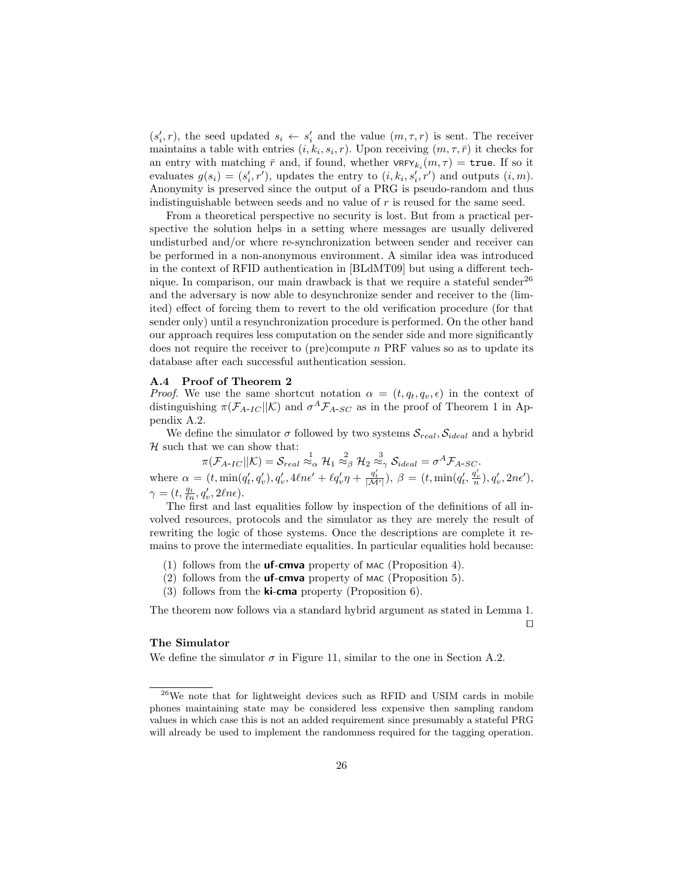$(s'_i,r)$ , the seed updated  $s_i \leftarrow s'_i$  and the value  $(m,\tau,r)$  is sent. The receiver maintains a table with entries  $(i, k_i, s_i, r)$ . Upon receiving  $(m, \tau, \bar{r})$  it checks for an entry with matching  $\bar{r}$  and, if found, whether  $\mathsf{vRFY}_{k_i}(m,\tau) = \mathtt{true}$ . If so it evaluates  $g(s_i) = (s'_i, r')$ , updates the entry to  $(i, k_i, s'_i, r')$  and outputs  $(i, m)$ . Anonymity is preserved since the output of a PRG is pseudo-random and thus indistinguishable between seeds and no value of  $r$  is reused for the same seed.

From a theoretical perspective no security is lost. But from a practical perspective the solution helps in a setting where messages are usually delivered undisturbed and/or where re-synchronization between sender and receiver can be performed in a non-anonymous environment. A similar idea was introduced in the context of RFID authentication in [BLdMT09] but using a different technique. In comparison, our main drawback is that we require a stateful sender<sup>26</sup> and the adversary is now able to desynchronize sender and receiver to the (limited) effect of forcing them to revert to the old verification procedure (for that sender only) until a resynchronization procedure is performed. On the other hand our approach requires less computation on the sender side and more significantly does not require the receiver to (pre)compute  $n$  PRF values so as to update its database after each successful authentication session.

## A.4 Proof of Theorem 2

*Proof.* We use the same shortcut notation  $\alpha = (t, q_t, q_v, \epsilon)$  in the context of distinguishing  $\pi(\mathcal{F}_{A-IC}||\mathcal{K})$  and  $\sigma^A\mathcal{F}_{A-SC}$  as in the proof of Theorem 1 in Appendix A.2.

We define the simulator  $\sigma$  followed by two systems  $\mathcal{S}_{real}, \mathcal{S}_{ideal}$  and a hybrid  $H$  such that we can show that:

 $\pi(\mathcal{F}_{A\text{-}IC}||\mathcal{K}) = \mathcal{S}_{real} \stackrel{1}{\approx}_{\alpha} \mathcal{H}_1 \stackrel{2}{\approx}_{\beta} \mathcal{H}_2 \stackrel{3}{\approx}_{\gamma} \mathcal{S}_{ideal} = \sigma^A \mathcal{F}_{A\text{-}SC}.$ where  $\alpha = (t, \min(q'_t, q'_v), q'_v, 4\ell n\epsilon' + \ell q'_v \eta + \frac{q'_t}{|\mathcal{M}'|}), \ \beta = (t, \min(q'_t, \frac{q'_v}{n}), q'_v, 2n\epsilon'),$  $\gamma = (t, \frac{q_t}{\ell n}, q'_v, 2\ell n\epsilon).$ 

The first and last equalities follow by inspection of the definitions of all involved resources, protocols and the simulator as they are merely the result of rewriting the logic of those systems. Once the descriptions are complete it remains to prove the intermediate equalities. In particular equalities hold because:

- (1) follows from the **uf-cmva** property of MAC (Proposition 4).
- (2) follows from the **uf-cmva** property of MAC (Proposition 5).
- (3) follows from the **ki-cma** property (Proposition 6).

The theorem now follows via a standard hybrid argument as stated in Lemma 1.

 $\Box$ 

#### The Simulator

We define the simulator  $\sigma$  in Figure 11, similar to the one in Section A.2.

 $^{26}\rm{We}$  note that for lightweight devices such as RFID and USIM cards in mobile phones maintaining state may be considered less expensive then sampling random values in which case this is not an added requirement since presumably a stateful PRG will already be used to implement the randomness required for the tagging operation.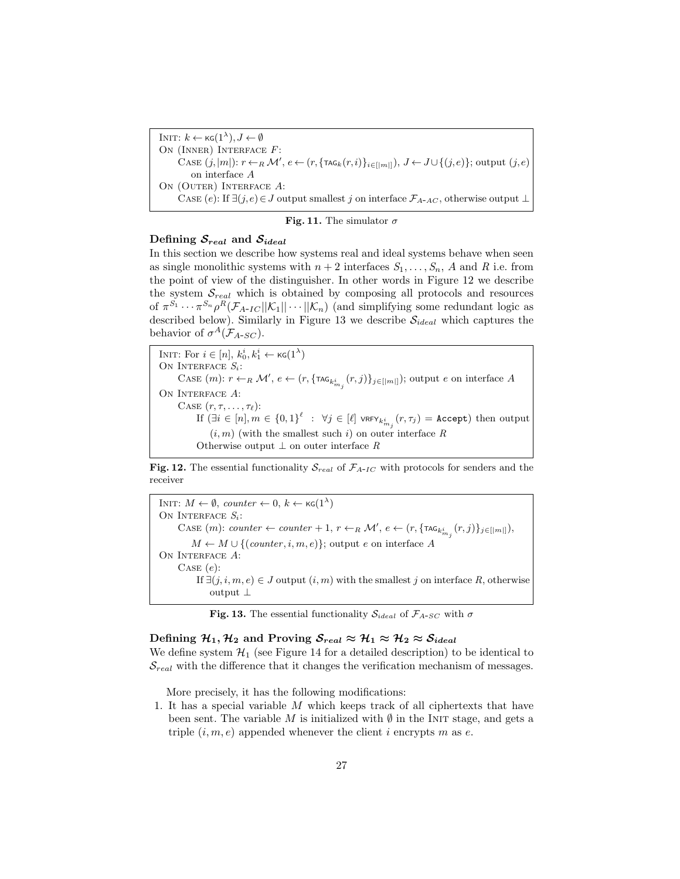INIT:  $k \leftarrow \kappa \mathsf{G}(1^{\lambda}), J \leftarrow \emptyset$ ON (INNER) INTERFACE  $F$ : CASE  $(j, |m|): r \leftarrow_R \mathcal{M}', e \leftarrow (r, \{\text{TAG}_k(r, i)\}_{i \in [|m|]})$ ,  $J \leftarrow J \cup \{(j, e)\}$ ; output  $(j, e)$ on interface A ON (OUTER) INTERFACE A: CASE  $(e)$ : If  $\exists (j,e) \in J$  output smallest j on interface  $\mathcal{F}_{A-AC}$ , otherwise output  $\bot$ 

#### Fig. 11. The simulator  $\sigma$

## Defining  $S_{real}$  and  $S_{ideal}$

In this section we describe how systems real and ideal systems behave when seen as single monolithic systems with  $n + 2$  interfaces  $S_1, \ldots, S_n$ , A and R i.e. from the point of view of the distinguisher. In other words in Figure 12 we describe the system  $\mathcal{S}_{real}$  which is obtained by composing all protocols and resources of  $\pi^{S_1} \cdots \pi^{S_n} \rho^R (\mathcal{F}_{A-IC} || \mathcal{K}_1 || \cdots || \mathcal{K}_n)$  (and simplifying some redundant logic as described below). Similarly in Figure 13 we describe  $\mathcal{S}_{ideal}$  which captures the behavior of  $\sigma^A(\mathcal{F}_{A-SC})$ .

INIT: For  $i \in [n], k_0^i, k_1^i \leftarrow \kappa \mathsf{G}(1^{\lambda})$ ON INTERFACE  $S_i$ : CASE  $(m)$ :  $r \leftarrow_R \mathcal{M}'$ ,  $e \leftarrow (r, \{\text{TAG}_{k_{m_j}^i}(r, j)\}_{j \in [|m|]})$ ; output e on interface A ON INTERFACE  $A$ : CASE  $(r, \tau, \ldots, \tau_{\ell})$ :  $\text{If } (\exists i \in [n], m \in \{0,1\}^\ell \ : \ \forall j \in [\ell] \text{ with } r_{k^i_{m_j}}(r, \tau_j) = \texttt{Accept}) \text{ then output}$  $(i, m)$  (with the smallest such i) on outer interface R Otherwise output  $\perp$  on outer interface R

Fig. 12. The essential functionality  $S_{real}$  of  $\mathcal{F}_{A-IC}$  with protocols for senders and the receiver

INIT:  $M \leftarrow \emptyset$ , counter  $\leftarrow 0$ ,  $k \leftarrow \kappa \mathsf{G}(1^{\lambda})$ ON INTERFACE  $S_i$ : CASE  $(m)$ : counter  $\leftarrow$  counter  $+1, r \leftarrow_R M', e \leftarrow (r, \{ \text{TAG}_{k_{m_j}^i}(r, j) \}_{j \in [|m|]}),$  $M \leftarrow M \cup \{ (counter, i, m, e) \};$  output e on interface A ON INTERFACE  $A$ : CASE  $(e)$ : If  $\exists (j, i, m, e) \in J$  output  $(i, m)$  with the smallest j on interface R, otherwise output ⊥

**Fig. 13.** The essential functionality  $S_{ideal}$  of  $\mathcal{F}_{A-SC}$  with  $\sigma$ 

## Defining  $\mathcal{H}_1, \mathcal{H}_2$  and Proving  $\mathcal{S}_{real} \approx \mathcal{H}_1 \approx \mathcal{H}_2 \approx \mathcal{S}_{ideal}$

We define system  $\mathcal{H}_1$  (see Figure 14 for a detailed description) to be identical to  $\mathcal{S}_{real}$  with the difference that it changes the verification mechanism of messages.

More precisely, it has the following modifications:

1. It has a special variable M which keeps track of all ciphertexts that have been sent. The variable  $M$  is initialized with  $\emptyset$  in the INIT stage, and gets a triple  $(i, m, e)$  appended whenever the client i encrypts m as e.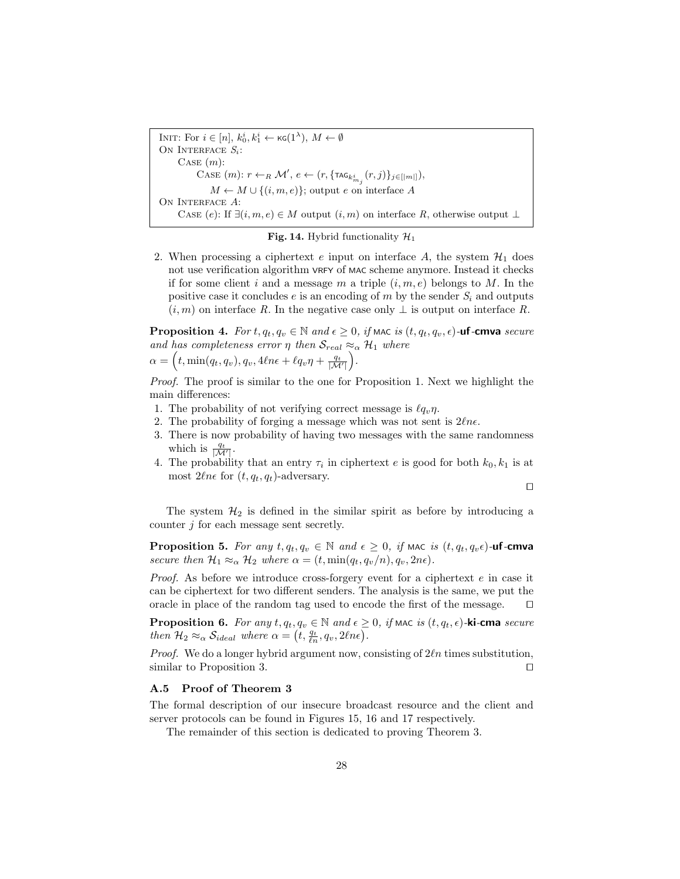INIT: For  $i \in [n], k_0^i, k_1^i \leftarrow \kappa \mathsf{G}(1^{\lambda}), M \leftarrow \emptyset$ ON INTERFACE  $S_i$ : CASE  $(m)$ : Case  $(m)$ :  $r \leftarrow_R \mathcal{M}'$ ,  $e \leftarrow (r, \{\text{tag}_{k_{m_j}^{i}}(r, j)\}_{j \in [|m|]})$ ,  $M \leftarrow M \cup \{(i, m, e)\};$  output e on interface A ON INTERFACE A: CASE  $(e)$ : If  $\exists (i, m, e) \in M$  output  $(i, m)$  on interface R, otherwise output  $\bot$ 

#### Fig. 14. Hybrid functionality  $\mathcal{H}_1$

2. When processing a ciphertext e input on interface A, the system  $\mathcal{H}_1$  does not use verification algorithm VRFY of MAC scheme anymore. Instead it checks if for some client i and a message m a triple  $(i, m, e)$  belongs to M. In the positive case it concludes e is an encoding of m by the sender  $S_i$  and outputs  $(i, m)$  on interface R. In the negative case only  $\perp$  is output on interface R.

**Proposition 4.** For  $t, q_t, q_v \in \mathbb{N}$  and  $\epsilon \geq 0$ , if MAC is  $(t, q_t, q_v, \epsilon)$ -uf-cmva secure and has completeness error  $\eta$  then  $\mathcal{S}_{real} \approx_{\alpha} \mathcal{H}_1$  where  $\alpha = \Big(t, \min(q_t, q_v), q_v, 4\ell n \epsilon + \ell q_v \eta + \frac{q_t}{|\mathcal{M}'|}\Big).$ 

Proof. The proof is similar to the one for Proposition 1. Next we highlight the main differences:

- 1. The probability of not verifying correct message is  $\ell q_v \eta$ .
- 2. The probability of forging a message which was not sent is  $2\ell n\epsilon$ .
- 3. There is now probability of having two messages with the same randomness which is  $\frac{q_t}{|\mathcal{M}'|}$ .
- 4. The probability that an entry  $\tau_i$  in ciphertext e is good for both  $k_0, k_1$  is at most  $2\ell n\epsilon$  for  $(t, q_t, q_t)$ -adversary.

$$
\square
$$

The system  $\mathcal{H}_2$  is defined in the similar spirit as before by introducing a counter  $j$  for each message sent secretly.

**Proposition 5.** For any  $t, q_t, q_v \in \mathbb{N}$  and  $\epsilon \geq 0$ , if mac is  $(t, q_t, q_v \epsilon)$ -uf-cmva secure then  $\mathcal{H}_1 \approx_\alpha \mathcal{H}_2$  where  $\alpha = (t, \min(q_t, q_v/n), q_v, 2n\epsilon)$ .

*Proof.* As before we introduce cross-forgery event for a ciphertext  $e$  in case it can be ciphertext for two different senders. The analysis is the same, we put the oracle in place of the random tag used to encode the first of the message.  $\square$ 

**Proposition 6.** For any  $t, q_t, q_v \in \mathbb{N}$  and  $\epsilon \geq 0$ , if MAC is  $(t, q_t, \epsilon)$ -ki-cma secure then  $\mathcal{H}_2 \approx_{\alpha} \mathcal{S}_{ideal}$  where  $\alpha = (t, \frac{q_t}{\ell n}, q_v, 2\ell n \epsilon)$ .

*Proof.* We do a longer hybrid argument now, consisting of  $2\ell n$  times substitution, similar to Proposition 3.  $\Box$ 

# A.5 Proof of Theorem 3

The formal description of our insecure broadcast resource and the client and server protocols can be found in Figures 15, 16 and 17 respectively.

The remainder of this section is dedicated to proving Theorem 3.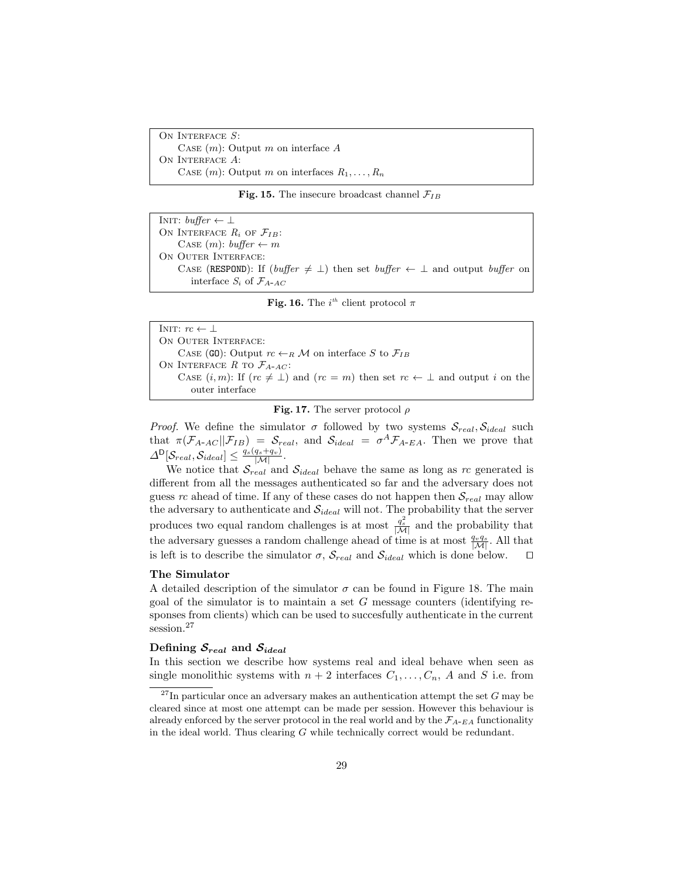ON INTERFACE  $S$ : CASE  $(m)$ : Output m on interface A ON INTERFACE  $A$ : CASE  $(m)$ : Output m on interfaces  $R_1, \ldots, R_n$ 

Fig. 15. The insecure broadcast channel  $\mathcal{F}_{IB}$ 

| INIT: buffer $\leftarrow \perp$                                                                   |
|---------------------------------------------------------------------------------------------------|
| ON INTERFACE $R_i$ of $\mathcal{F}_{IB}$ :                                                        |
| CASE $(m)$ : buffer $\leftarrow$ m                                                                |
| ON OUTER INTERFACE:                                                                               |
| CASE (RESPOND): If (buffer $\neq \perp$ ) then set buffer $\leftarrow \perp$ and output buffer on |
| interface $S_i$ of $\mathcal{F}_{A-AC}$                                                           |

Fig. 16. The  $i^{th}$  client protocol  $\pi$ 

| CASE $(i, m)$ : If $(re \neq \perp)$ and $(re = m)$ then set $rc \leftarrow \perp$ and output i on the |
|--------------------------------------------------------------------------------------------------------|
|                                                                                                        |
|                                                                                                        |

# Fig. 17. The server protocol  $\rho$

*Proof.* We define the simulator  $\sigma$  followed by two systems  $S_{real}, S_{ideal}$  such that  $\pi(\mathcal{F}_{A\text{-}AC}||\mathcal{F}_{IB}) = \mathcal{S}_{real}$ , and  $\mathcal{S}_{ideal} = \sigma^A \mathcal{F}_{A\text{-}EA}$ . Then we prove that  $\Delta^{\textsf{D}}[\mathcal{S}_{real}, \mathcal{S}_{ideal}] \leq \frac{q_s(q_s+q_v)}{|\mathcal{M}|}.$ 

We notice that  $S_{real}$  and  $S_{ideal}$  behave the same as long as rc generated is different from all the messages authenticated so far and the adversary does not guess rc ahead of time. If any of these cases do not happen then  $S_{real}$  may allow the adversary to authenticate and  $\mathcal{S}_{ideal}$  will not. The probability that the server produces two equal random challenges is at most  $\frac{q_s^2}{|\mathcal{M}|}$  and the probability that the adversary guesses a random challenge ahead of time is at most  $\frac{q_v q_s}{|\mathcal{M}|}$ . All that is left is to describe the simulator  $\sigma$ ,  $S_{real}$  and  $S_{ideal}$  which is done below.  $\square$ 

#### The Simulator

A detailed description of the simulator  $\sigma$  can be found in Figure 18. The main goal of the simulator is to maintain a set  $G$  message counters (identifying responses from clients) which can be used to succesfully authenticate in the current session.<sup>27</sup>

# Defining  $S_{real}$  and  $S_{ideal}$

In this section we describe how systems real and ideal behave when seen as single monolithic systems with  $n + 2$  interfaces  $C_1, \ldots, C_n$ , A and S i.e. from

 $^{27}$ In particular once an adversary makes an authentication attempt the set G may be cleared since at most one attempt can be made per session. However this behaviour is already enforced by the server protocol in the real world and by the  $\mathcal{F}_{A-E}$  functionality in the ideal world. Thus clearing  $G$  while technically correct would be redundant.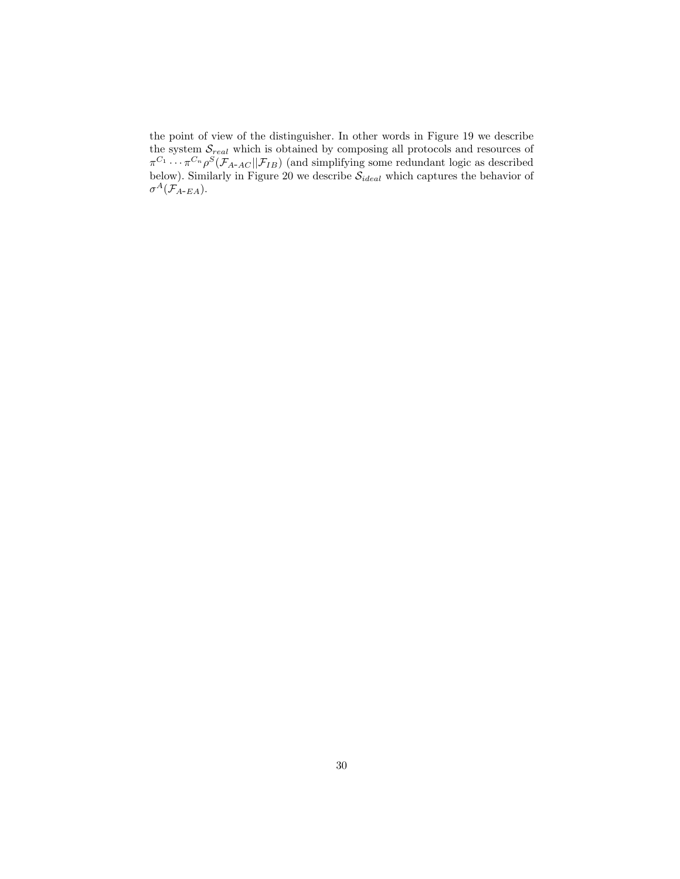the point of view of the distinguisher. In other words in Figure 19 we describe the system  $S_{real}$  which is obtained by composing all protocols and resources of  $\pi^{C_1} \cdots \pi^{C_n} \rho^S(\mathcal{F}_{A-AC}||\mathcal{F}_{IB})$  (and simplifying some redundant logic as described below). Similarly in Figure 20 we describe  $\mathcal{S}_{ideal}$  which captures the behavior of  $\sigma^A(\mathcal{F}_{A-EA}).$